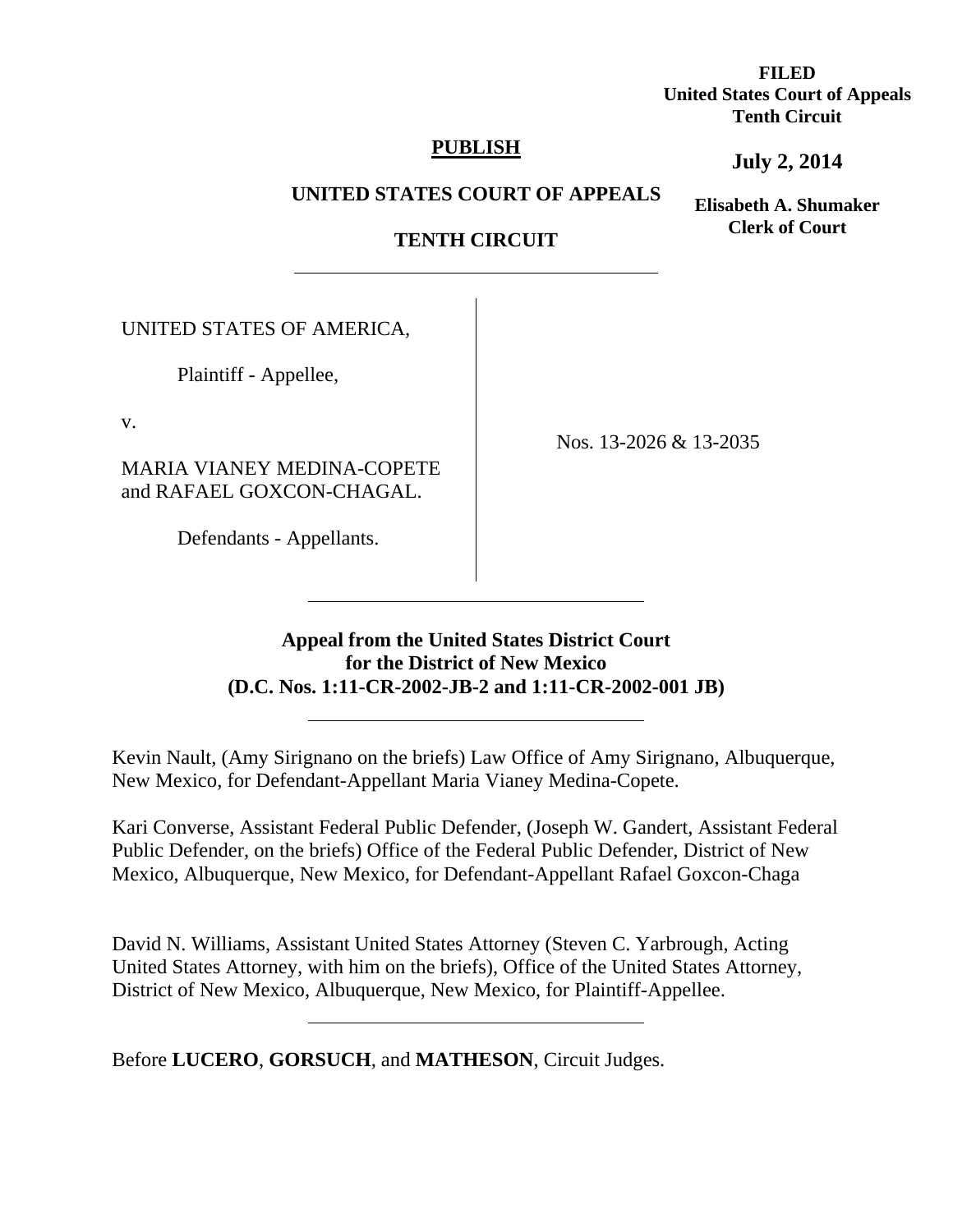**FILED United States Court of Appeals Tenth Circuit** 

## **PUBLISH**

**July 2, 2014**

**UNITED STATES COURT OF APPEALS**

# **TENTH CIRCUIT**

UNITED STATES OF AMERICA,

 $\overline{a}$ 

Plaintiff - Appellee,

v.

MARIA VIANEY MEDINA-COPETE and RAFAEL GOXCON-CHAGAL.

Defendants - Appellants.

 $\overline{a}$ 

Nos. 13-2026 & 13-2035

## **Appeal from the United States District Court for the District of New Mexico (D.C. Nos. 1:11-CR-2002-JB-2 and 1:11-CR-2002-001 JB)**

Kevin Nault, (Amy Sirignano on the briefs) Law Office of Amy Sirignano, Albuquerque, New Mexico, for Defendant-Appellant Maria Vianey Medina-Copete.

Kari Converse, Assistant Federal Public Defender, (Joseph W. Gandert, Assistant Federal Public Defender, on the briefs) Office of the Federal Public Defender, District of New Mexico, Albuquerque, New Mexico, for Defendant-Appellant Rafael Goxcon-Chaga

David N. Williams, Assistant United States Attorney (Steven C. Yarbrough, Acting United States Attorney, with him on the briefs), Office of the United States Attorney, District of New Mexico, Albuquerque, New Mexico, for Plaintiff-Appellee.  $\overline{a}$ 

Before **LUCERO**, **GORSUCH**, and **MATHESON**, Circuit Judges.

**Elisabeth A. Shumaker Clerk of Court**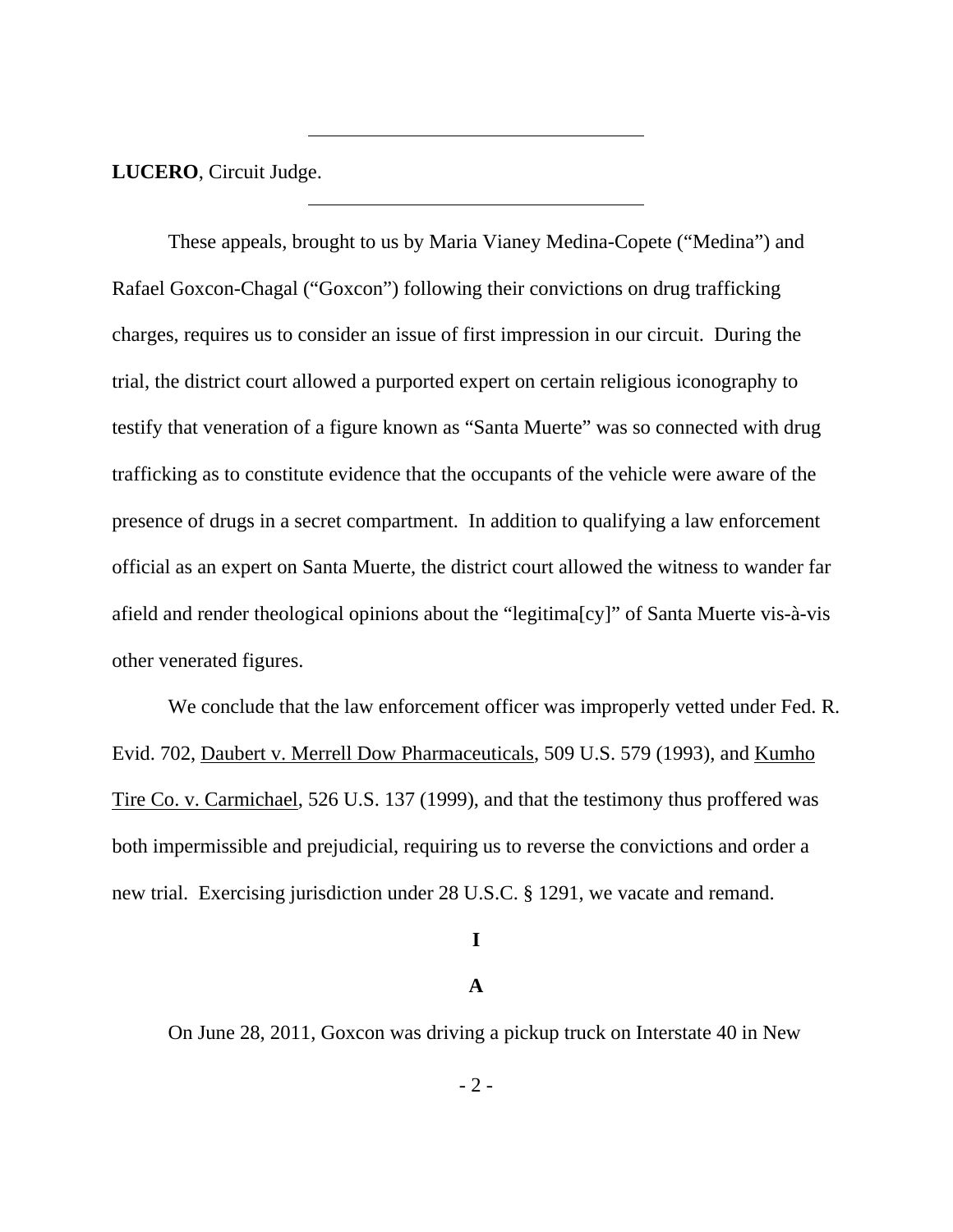**LUCERO**, Circuit Judge.

 $\overline{a}$ 

 These appeals, brought to us by Maria Vianey Medina-Copete ("Medina") and Rafael Goxcon-Chagal ("Goxcon") following their convictions on drug trafficking charges, requires us to consider an issue of first impression in our circuit. During the trial, the district court allowed a purported expert on certain religious iconography to testify that veneration of a figure known as "Santa Muerte" was so connected with drug trafficking as to constitute evidence that the occupants of the vehicle were aware of the presence of drugs in a secret compartment. In addition to qualifying a law enforcement official as an expert on Santa Muerte, the district court allowed the witness to wander far afield and render theological opinions about the "legitima[cy]" of Santa Muerte vis-à-vis other venerated figures.

 We conclude that the law enforcement officer was improperly vetted under Fed. R. Evid. 702, Daubert v. Merrell Dow Pharmaceuticals, 509 U.S. 579 (1993), and Kumho Tire Co. v. Carmichael, 526 U.S. 137 (1999), and that the testimony thus proffered was both impermissible and prejudicial, requiring us to reverse the convictions and order a new trial. Exercising jurisdiction under 28 U.S.C. § 1291, we vacate and remand.

### **I**

## **A**

On June 28, 2011, Goxcon was driving a pickup truck on Interstate 40 in New

- 2 -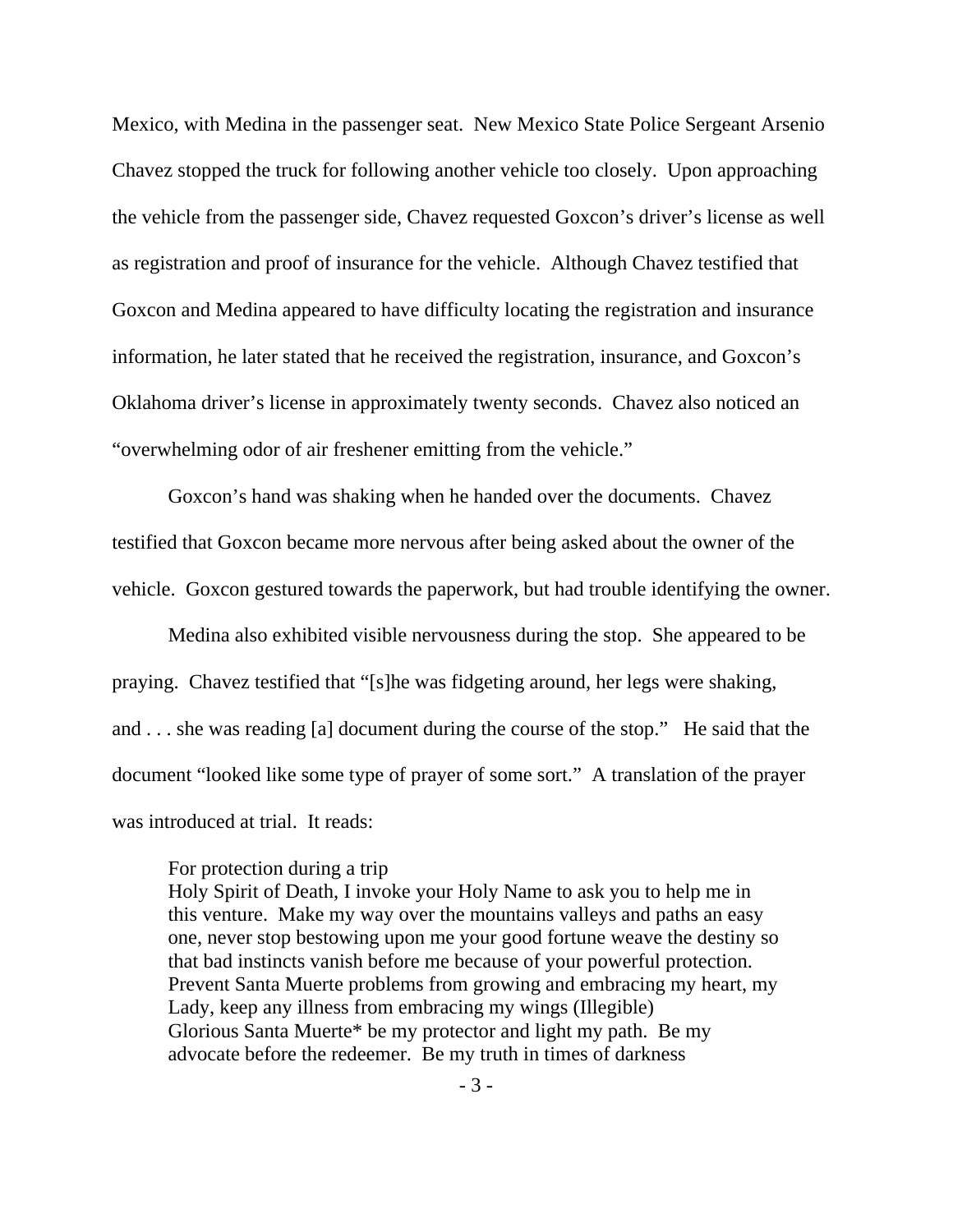Mexico, with Medina in the passenger seat. New Mexico State Police Sergeant Arsenio Chavez stopped the truck for following another vehicle too closely. Upon approaching the vehicle from the passenger side, Chavez requested Goxcon's driver's license as well as registration and proof of insurance for the vehicle. Although Chavez testified that Goxcon and Medina appeared to have difficulty locating the registration and insurance information, he later stated that he received the registration, insurance, and Goxcon's Oklahoma driver's license in approximately twenty seconds. Chavez also noticed an "overwhelming odor of air freshener emitting from the vehicle."

Goxcon's hand was shaking when he handed over the documents. Chavez testified that Goxcon became more nervous after being asked about the owner of the vehicle. Goxcon gestured towards the paperwork, but had trouble identifying the owner.

Medina also exhibited visible nervousness during the stop. She appeared to be praying. Chavez testified that "[s]he was fidgeting around, her legs were shaking, and . . . she was reading [a] document during the course of the stop." He said that the document "looked like some type of prayer of some sort." A translation of the prayer was introduced at trial. It reads:

For protection during a trip

Holy Spirit of Death, I invoke your Holy Name to ask you to help me in this venture. Make my way over the mountains valleys and paths an easy one, never stop bestowing upon me your good fortune weave the destiny so that bad instincts vanish before me because of your powerful protection. Prevent Santa Muerte problems from growing and embracing my heart, my Lady, keep any illness from embracing my wings (Illegible) Glorious Santa Muerte\* be my protector and light my path. Be my advocate before the redeemer. Be my truth in times of darkness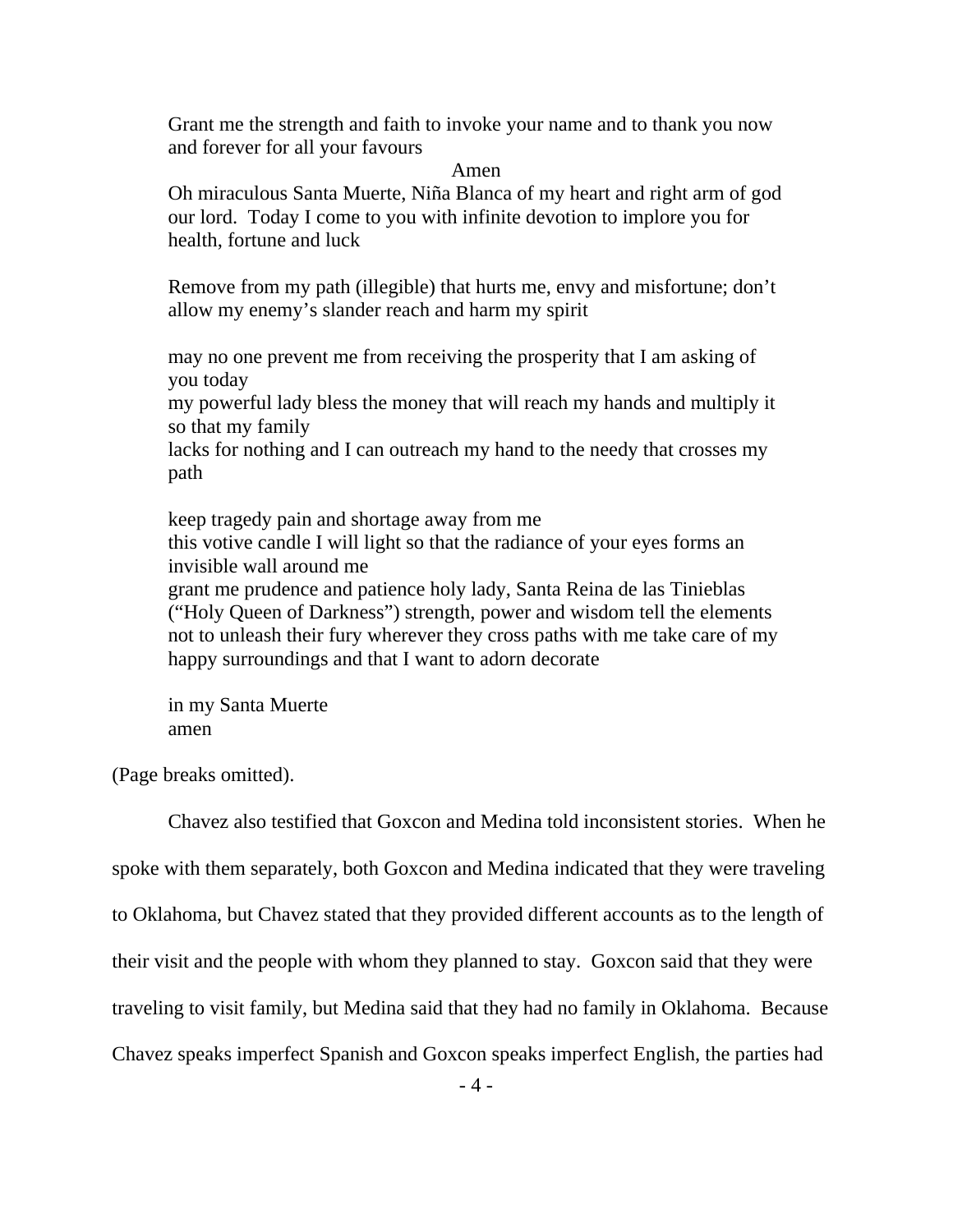Grant me the strength and faith to invoke your name and to thank you now and forever for all your favours

Amen

Oh miraculous Santa Muerte, Niña Blanca of my heart and right arm of god our lord. Today I come to you with infinite devotion to implore you for health, fortune and luck

Remove from my path (illegible) that hurts me, envy and misfortune; don't allow my enemy's slander reach and harm my spirit

may no one prevent me from receiving the prosperity that I am asking of you today

my powerful lady bless the money that will reach my hands and multiply it so that my family

lacks for nothing and I can outreach my hand to the needy that crosses my path

keep tragedy pain and shortage away from me this votive candle I will light so that the radiance of your eyes forms an invisible wall around me

grant me prudence and patience holy lady, Santa Reina de las Tinieblas ("Holy Queen of Darkness") strength, power and wisdom tell the elements not to unleash their fury wherever they cross paths with me take care of my happy surroundings and that I want to adorn decorate

in my Santa Muerte amen

(Page breaks omitted).

Chavez also testified that Goxcon and Medina told inconsistent stories. When he spoke with them separately, both Goxcon and Medina indicated that they were traveling to Oklahoma, but Chavez stated that they provided different accounts as to the length of their visit and the people with whom they planned to stay. Goxcon said that they were traveling to visit family, but Medina said that they had no family in Oklahoma. Because Chavez speaks imperfect Spanish and Goxcon speaks imperfect English, the parties had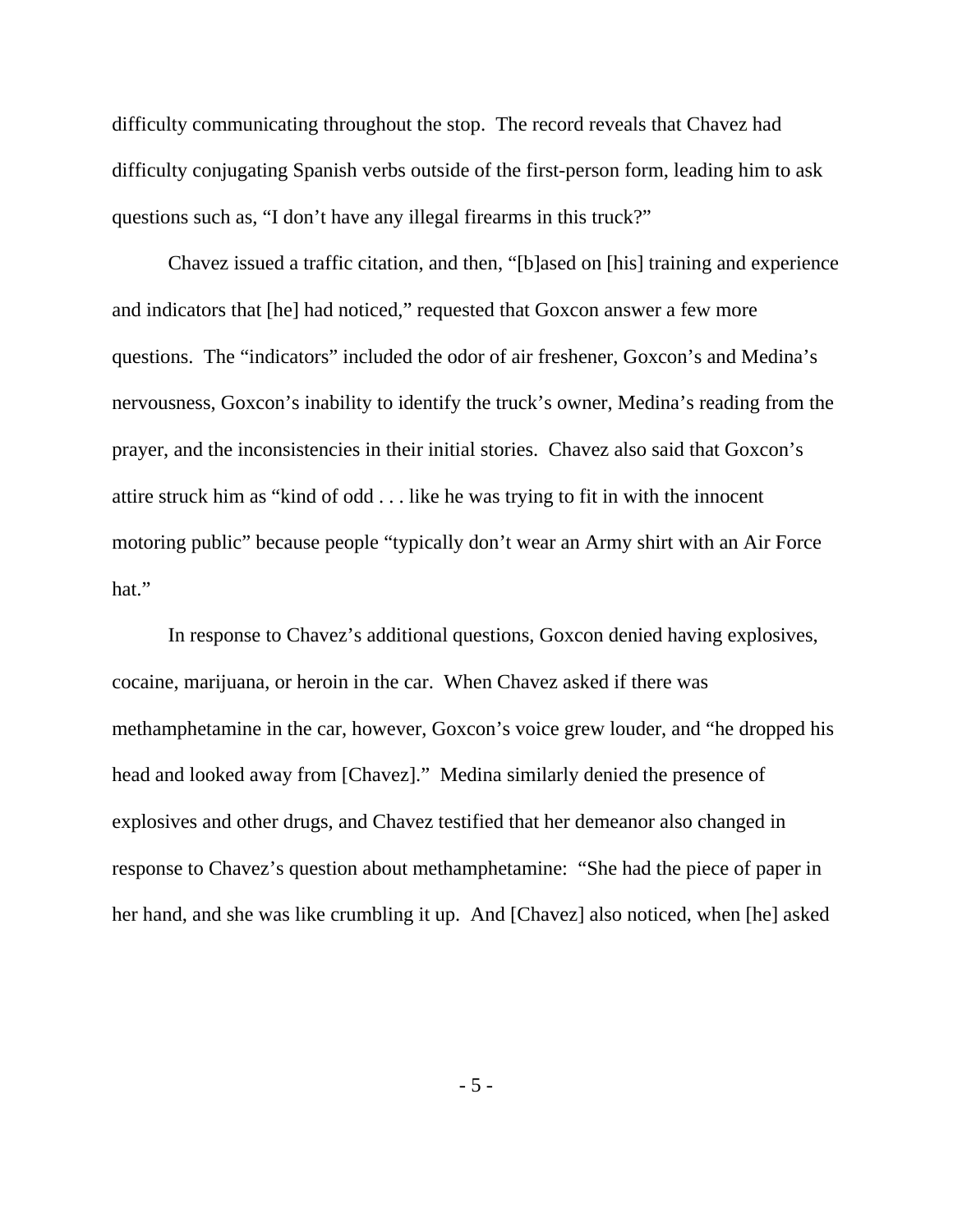difficulty communicating throughout the stop. The record reveals that Chavez had difficulty conjugating Spanish verbs outside of the first-person form, leading him to ask questions such as, "I don't have any illegal firearms in this truck?"

Chavez issued a traffic citation, and then, "[b]ased on [his] training and experience and indicators that [he] had noticed," requested that Goxcon answer a few more questions. The "indicators" included the odor of air freshener, Goxcon's and Medina's nervousness, Goxcon's inability to identify the truck's owner, Medina's reading from the prayer, and the inconsistencies in their initial stories. Chavez also said that Goxcon's attire struck him as "kind of odd . . . like he was trying to fit in with the innocent motoring public" because people "typically don't wear an Army shirt with an Air Force hat."

In response to Chavez's additional questions, Goxcon denied having explosives, cocaine, marijuana, or heroin in the car. When Chavez asked if there was methamphetamine in the car, however, Goxcon's voice grew louder, and "he dropped his head and looked away from [Chavez]." Medina similarly denied the presence of explosives and other drugs, and Chavez testified that her demeanor also changed in response to Chavez's question about methamphetamine: "She had the piece of paper in her hand, and she was like crumbling it up. And [Chavez] also noticed, when [he] asked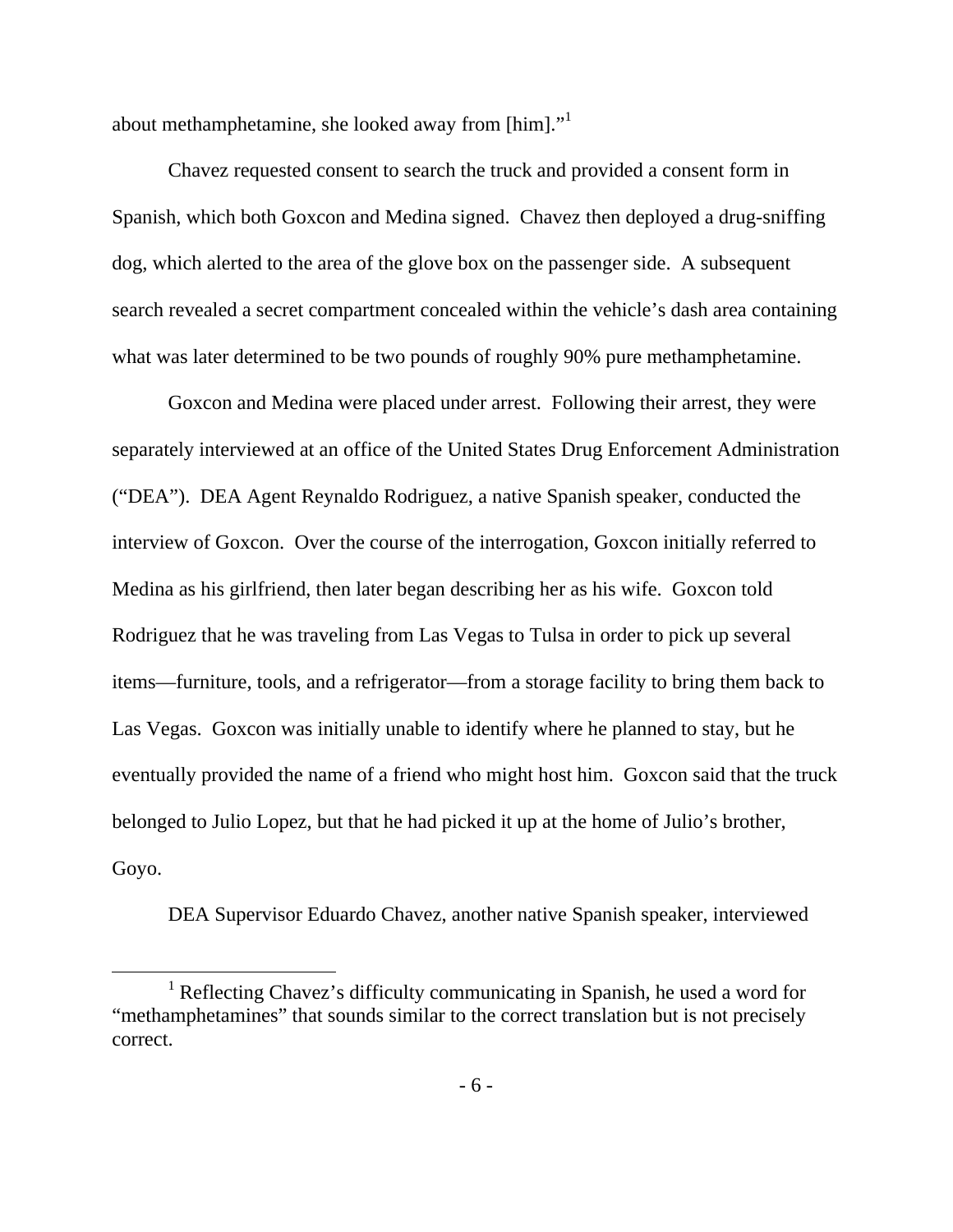about methamphetamine, she looked away from [him]."<sup>1</sup>

Chavez requested consent to search the truck and provided a consent form in Spanish, which both Goxcon and Medina signed. Chavez then deployed a drug-sniffing dog, which alerted to the area of the glove box on the passenger side. A subsequent search revealed a secret compartment concealed within the vehicle's dash area containing what was later determined to be two pounds of roughly 90% pure methamphetamine.

 Goxcon and Medina were placed under arrest. Following their arrest, they were separately interviewed at an office of the United States Drug Enforcement Administration ("DEA"). DEA Agent Reynaldo Rodriguez, a native Spanish speaker, conducted the interview of Goxcon. Over the course of the interrogation, Goxcon initially referred to Medina as his girlfriend, then later began describing her as his wife. Goxcon told Rodriguez that he was traveling from Las Vegas to Tulsa in order to pick up several items—furniture, tools, and a refrigerator—from a storage facility to bring them back to Las Vegas. Goxcon was initially unable to identify where he planned to stay, but he eventually provided the name of a friend who might host him. Goxcon said that the truck belonged to Julio Lopez, but that he had picked it up at the home of Julio's brother, Goyo.

DEA Supervisor Eduardo Chavez, another native Spanish speaker, interviewed

<sup>&</sup>lt;u>1</u> <sup>1</sup> Reflecting Chavez's difficulty communicating in Spanish, he used a word for "methamphetamines" that sounds similar to the correct translation but is not precisely correct.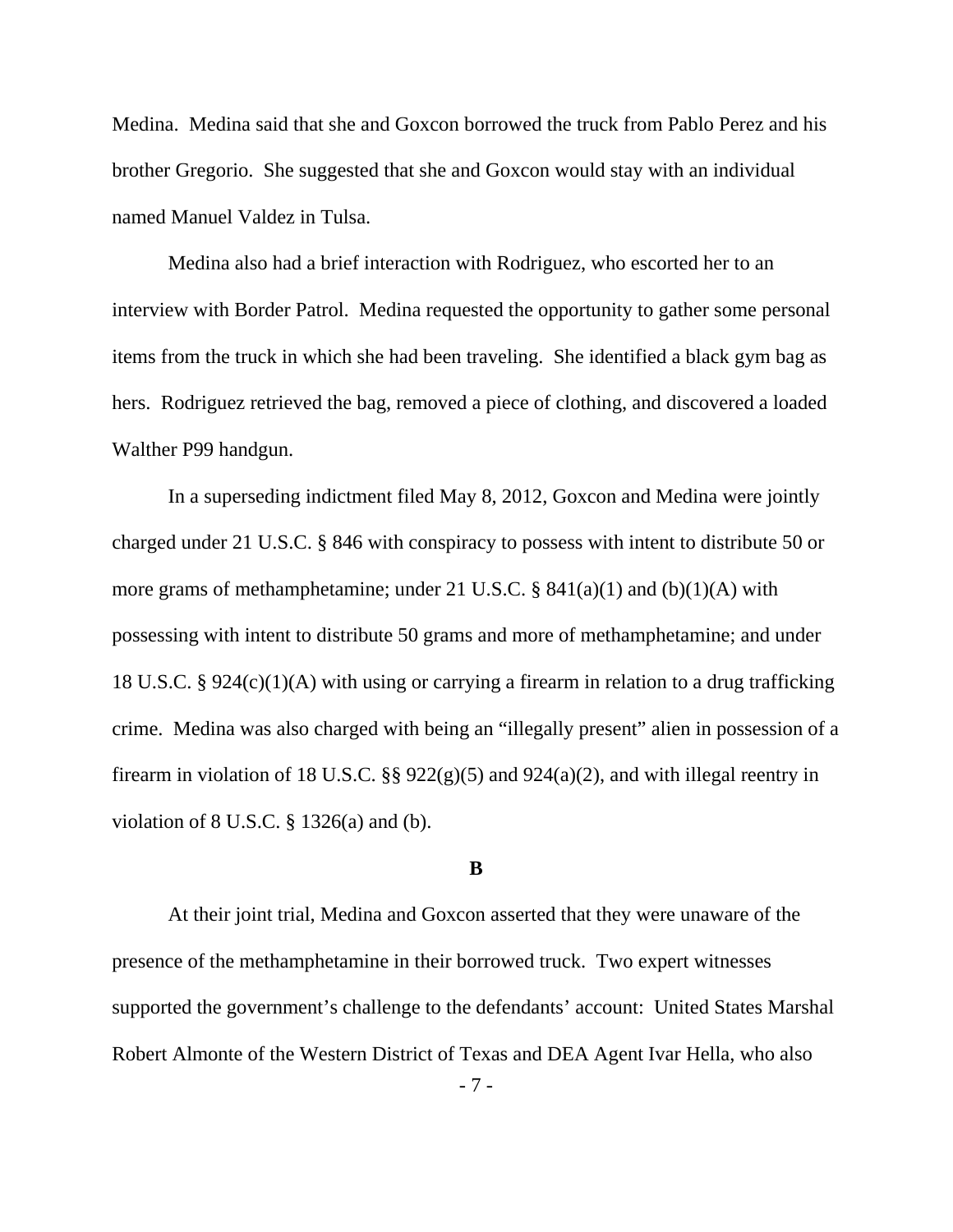Medina. Medina said that she and Goxcon borrowed the truck from Pablo Perez and his brother Gregorio. She suggested that she and Goxcon would stay with an individual named Manuel Valdez in Tulsa.

Medina also had a brief interaction with Rodriguez, who escorted her to an interview with Border Patrol. Medina requested the opportunity to gather some personal items from the truck in which she had been traveling. She identified a black gym bag as hers. Rodriguez retrieved the bag, removed a piece of clothing, and discovered a loaded Walther P99 handgun.

 In a superseding indictment filed May 8, 2012, Goxcon and Medina were jointly charged under 21 U.S.C. § 846 with conspiracy to possess with intent to distribute 50 or more grams of methamphetamine; under 21 U.S.C.  $\S$  841(a)(1) and (b)(1)(A) with possessing with intent to distribute 50 grams and more of methamphetamine; and under 18 U.S.C. § 924(c)(1)(A) with using or carrying a firearm in relation to a drug trafficking crime. Medina was also charged with being an "illegally present" alien in possession of a firearm in violation of 18 U.S.C. §§  $922(g)(5)$  and  $924(a)(2)$ , and with illegal reentry in violation of  $8$  U.S.C.  $\S$  1326(a) and (b).

#### **B**

At their joint trial, Medina and Goxcon asserted that they were unaware of the presence of the methamphetamine in their borrowed truck. Two expert witnesses supported the government's challenge to the defendants' account: United States Marshal Robert Almonte of the Western District of Texas and DEA Agent Ivar Hella, who also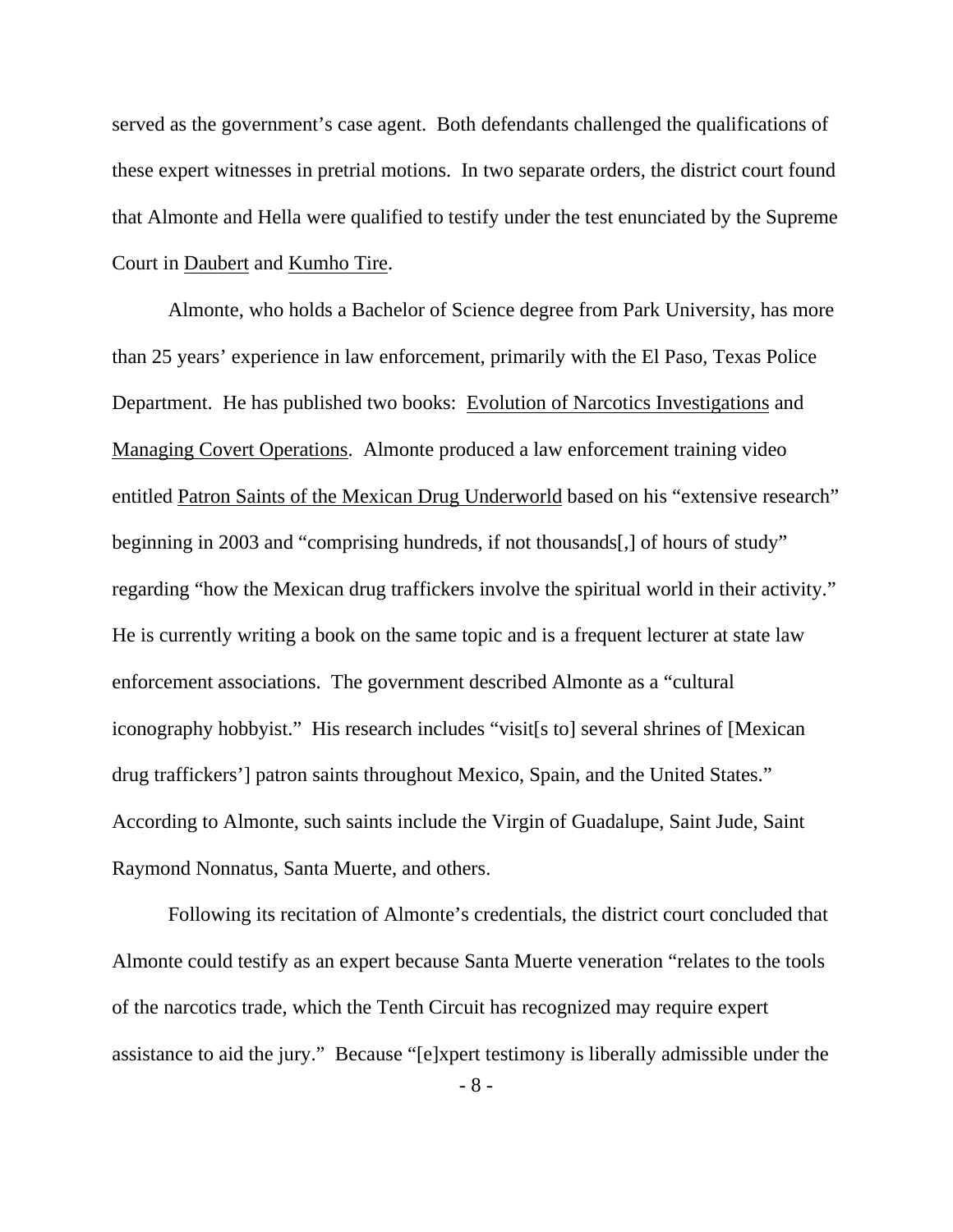served as the government's case agent. Both defendants challenged the qualifications of these expert witnesses in pretrial motions. In two separate orders, the district court found that Almonte and Hella were qualified to testify under the test enunciated by the Supreme Court in Daubert and Kumho Tire.

 Almonte, who holds a Bachelor of Science degree from Park University, has more than 25 years' experience in law enforcement, primarily with the El Paso, Texas Police Department. He has published two books: Evolution of Narcotics Investigations and Managing Covert Operations. Almonte produced a law enforcement training video entitled Patron Saints of the Mexican Drug Underworld based on his "extensive research" beginning in 2003 and "comprising hundreds, if not thousands[,] of hours of study" regarding "how the Mexican drug traffickers involve the spiritual world in their activity." He is currently writing a book on the same topic and is a frequent lecturer at state law enforcement associations. The government described Almonte as a "cultural iconography hobbyist." His research includes "visit[s to] several shrines of [Mexican drug traffickers'] patron saints throughout Mexico, Spain, and the United States." According to Almonte, such saints include the Virgin of Guadalupe, Saint Jude, Saint Raymond Nonnatus, Santa Muerte, and others.

Following its recitation of Almonte's credentials, the district court concluded that Almonte could testify as an expert because Santa Muerte veneration "relates to the tools of the narcotics trade, which the Tenth Circuit has recognized may require expert assistance to aid the jury." Because "[e]xpert testimony is liberally admissible under the

- 8 -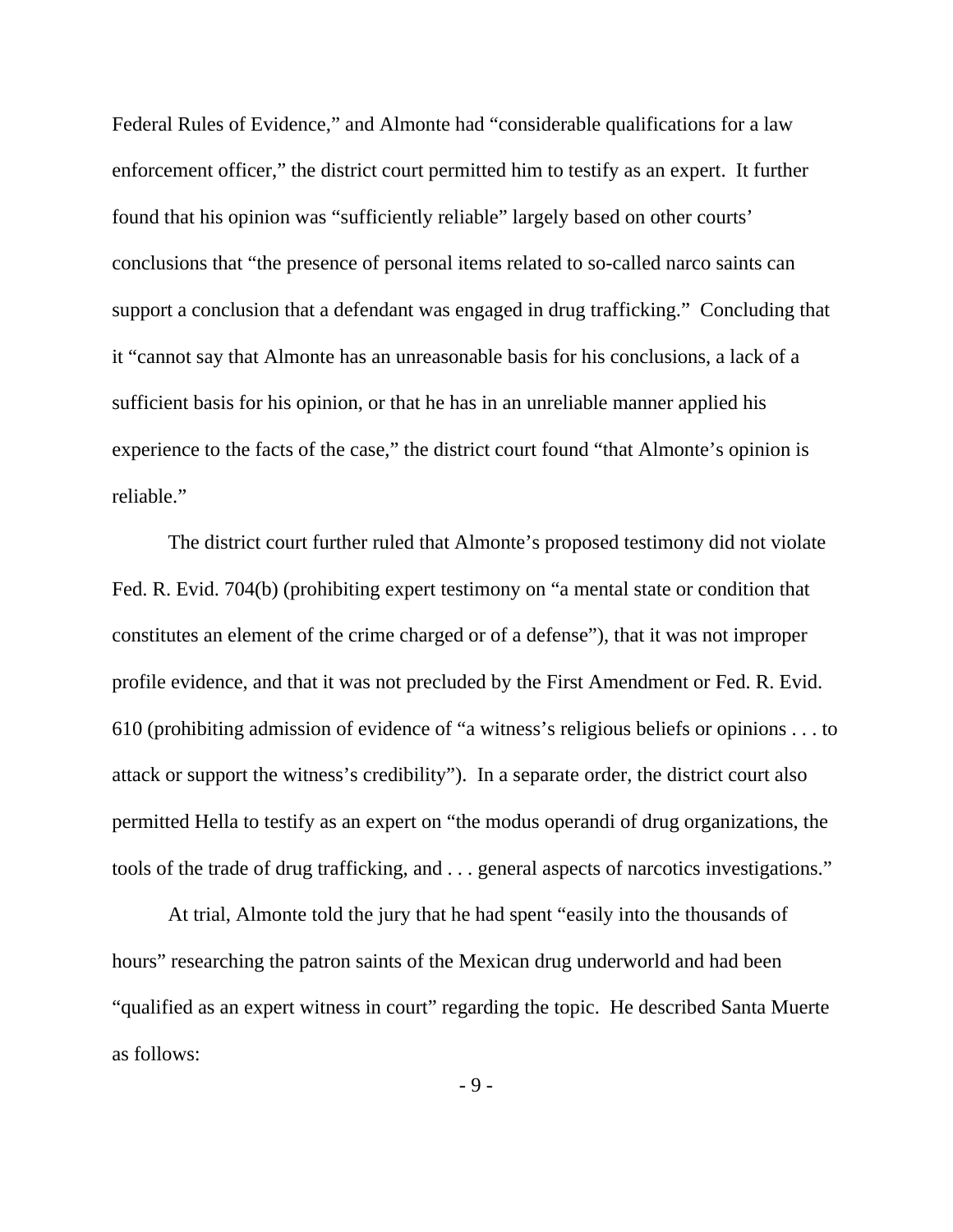Federal Rules of Evidence," and Almonte had "considerable qualifications for a law enforcement officer," the district court permitted him to testify as an expert. It further found that his opinion was "sufficiently reliable" largely based on other courts' conclusions that "the presence of personal items related to so-called narco saints can support a conclusion that a defendant was engaged in drug trafficking." Concluding that it "cannot say that Almonte has an unreasonable basis for his conclusions, a lack of a sufficient basis for his opinion, or that he has in an unreliable manner applied his experience to the facts of the case," the district court found "that Almonte's opinion is reliable."

 The district court further ruled that Almonte's proposed testimony did not violate Fed. R. Evid. 704(b) (prohibiting expert testimony on "a mental state or condition that constitutes an element of the crime charged or of a defense"), that it was not improper profile evidence, and that it was not precluded by the First Amendment or Fed. R. Evid. 610 (prohibiting admission of evidence of "a witness's religious beliefs or opinions . . . to attack or support the witness's credibility"). In a separate order, the district court also permitted Hella to testify as an expert on "the modus operandi of drug organizations, the tools of the trade of drug trafficking, and . . . general aspects of narcotics investigations."

 At trial, Almonte told the jury that he had spent "easily into the thousands of hours" researching the patron saints of the Mexican drug underworld and had been "qualified as an expert witness in court" regarding the topic. He described Santa Muerte as follows:

- 9 -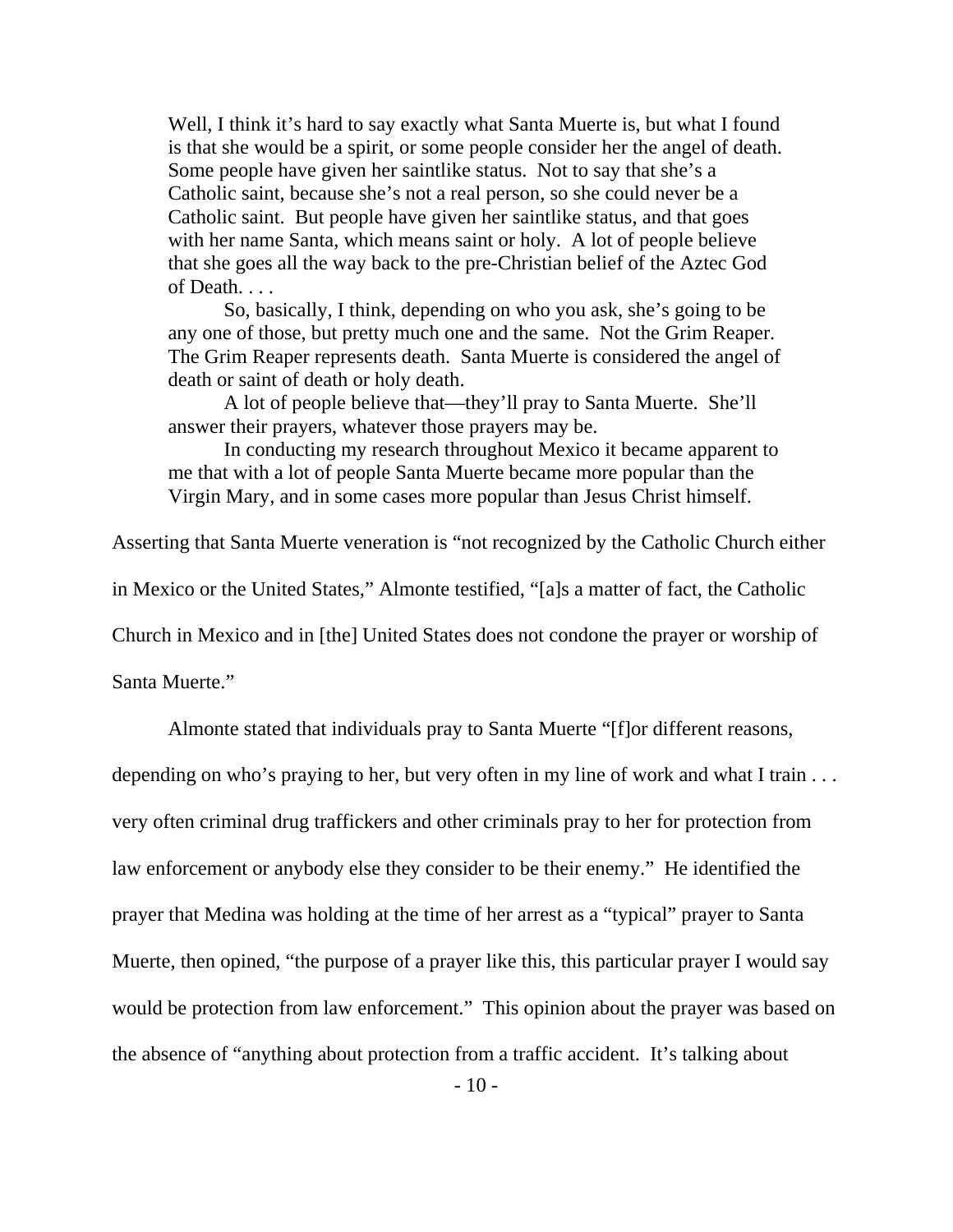Well, I think it's hard to say exactly what Santa Muerte is, but what I found is that she would be a spirit, or some people consider her the angel of death. Some people have given her saintlike status. Not to say that she's a Catholic saint, because she's not a real person, so she could never be a Catholic saint. But people have given her saintlike status, and that goes with her name Santa, which means saint or holy. A lot of people believe that she goes all the way back to the pre-Christian belief of the Aztec God of Death. . . .

So, basically, I think, depending on who you ask, she's going to be any one of those, but pretty much one and the same. Not the Grim Reaper. The Grim Reaper represents death. Santa Muerte is considered the angel of death or saint of death or holy death.

A lot of people believe that—they'll pray to Santa Muerte. She'll answer their prayers, whatever those prayers may be.

In conducting my research throughout Mexico it became apparent to me that with a lot of people Santa Muerte became more popular than the Virgin Mary, and in some cases more popular than Jesus Christ himself.

Asserting that Santa Muerte veneration is "not recognized by the Catholic Church either

in Mexico or the United States," Almonte testified, "[a]s a matter of fact, the Catholic

Church in Mexico and in [the] United States does not condone the prayer or worship of

Santa Muerte."

Almonte stated that individuals pray to Santa Muerte "[f]or different reasons,

depending on who's praying to her, but very often in my line of work and what I train . . . very often criminal drug traffickers and other criminals pray to her for protection from law enforcement or anybody else they consider to be their enemy." He identified the prayer that Medina was holding at the time of her arrest as a "typical" prayer to Santa Muerte, then opined, "the purpose of a prayer like this, this particular prayer I would say would be protection from law enforcement." This opinion about the prayer was based on the absence of "anything about protection from a traffic accident. It's talking about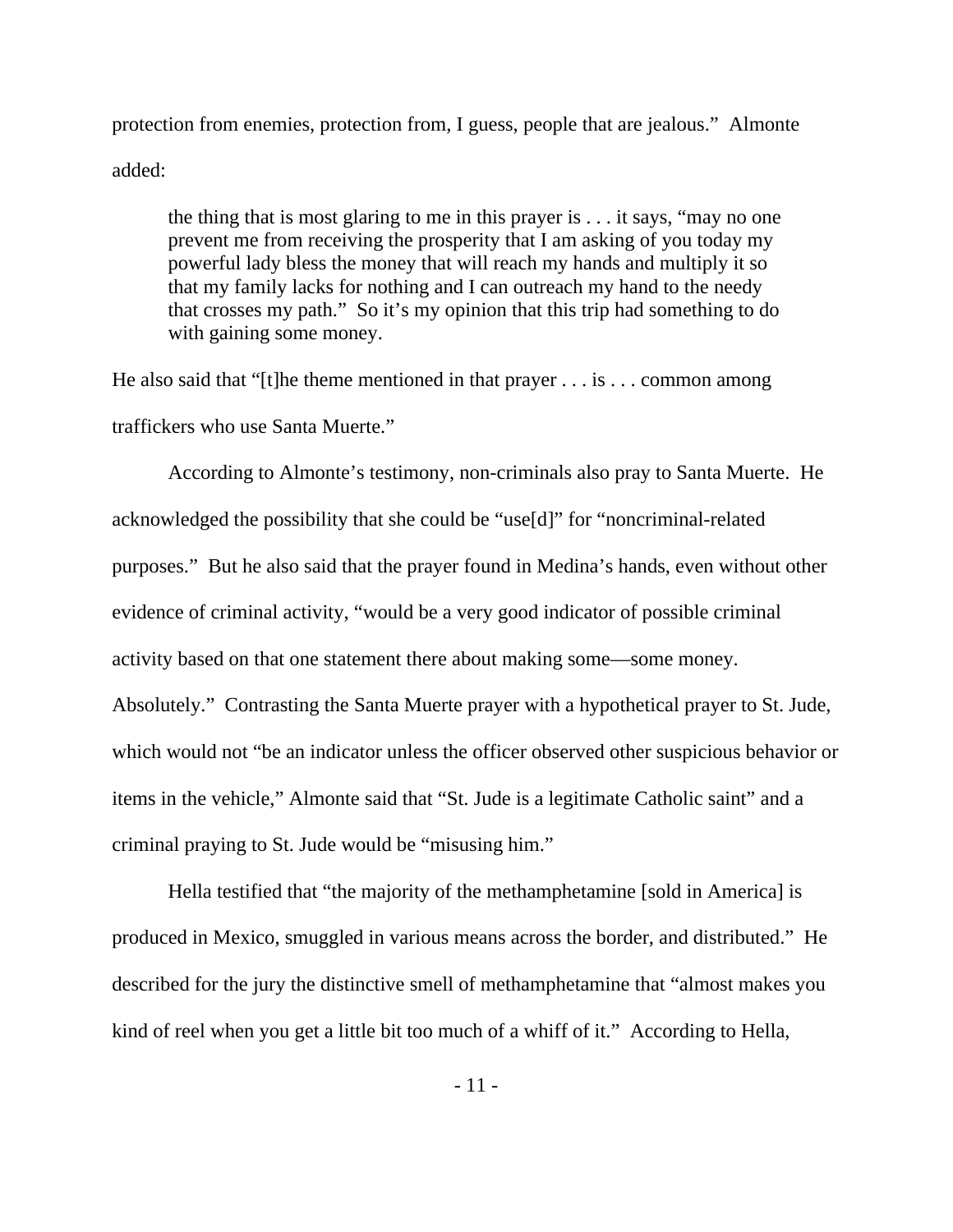protection from enemies, protection from, I guess, people that are jealous." Almonte added:

the thing that is most glaring to me in this prayer is . . . it says, "may no one prevent me from receiving the prosperity that I am asking of you today my powerful lady bless the money that will reach my hands and multiply it so that my family lacks for nothing and I can outreach my hand to the needy that crosses my path." So it's my opinion that this trip had something to do with gaining some money.

He also said that "[t]he theme mentioned in that prayer  $\dots$  is  $\dots$  common among traffickers who use Santa Muerte."

According to Almonte's testimony, non-criminals also pray to Santa Muerte. He acknowledged the possibility that she could be "use[d]" for "noncriminal-related purposes." But he also said that the prayer found in Medina's hands, even without other evidence of criminal activity, "would be a very good indicator of possible criminal activity based on that one statement there about making some—some money. Absolutely." Contrasting the Santa Muerte prayer with a hypothetical prayer to St. Jude, which would not "be an indicator unless the officer observed other suspicious behavior or items in the vehicle," Almonte said that "St. Jude is a legitimate Catholic saint" and a criminal praying to St. Jude would be "misusing him."

Hella testified that "the majority of the methamphetamine [sold in America] is produced in Mexico, smuggled in various means across the border, and distributed." He described for the jury the distinctive smell of methamphetamine that "almost makes you kind of reel when you get a little bit too much of a whiff of it." According to Hella,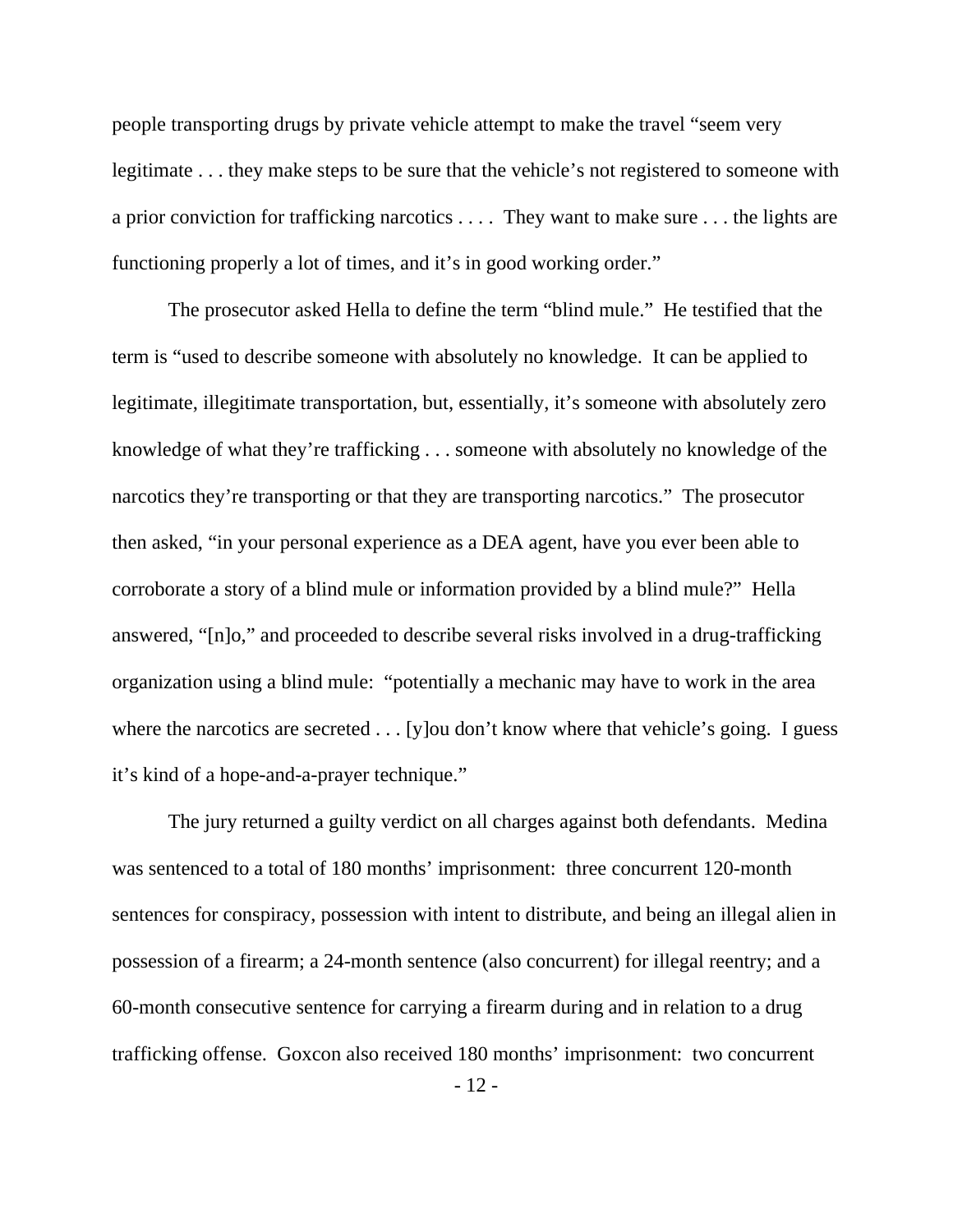people transporting drugs by private vehicle attempt to make the travel "seem very legitimate . . . they make steps to be sure that the vehicle's not registered to someone with a prior conviction for trafficking narcotics . . . . They want to make sure . . . the lights are functioning properly a lot of times, and it's in good working order."

 The prosecutor asked Hella to define the term "blind mule." He testified that the term is "used to describe someone with absolutely no knowledge. It can be applied to legitimate, illegitimate transportation, but, essentially, it's someone with absolutely zero knowledge of what they're trafficking . . . someone with absolutely no knowledge of the narcotics they're transporting or that they are transporting narcotics." The prosecutor then asked, "in your personal experience as a DEA agent, have you ever been able to corroborate a story of a blind mule or information provided by a blind mule?" Hella answered, "[n]o," and proceeded to describe several risks involved in a drug-trafficking organization using a blind mule: "potentially a mechanic may have to work in the area where the narcotics are secreted . . . [y] ou don't know where that vehicle's going. I guess it's kind of a hope-and-a-prayer technique."

 The jury returned a guilty verdict on all charges against both defendants. Medina was sentenced to a total of 180 months' imprisonment: three concurrent 120-month sentences for conspiracy, possession with intent to distribute, and being an illegal alien in possession of a firearm; a 24-month sentence (also concurrent) for illegal reentry; and a 60-month consecutive sentence for carrying a firearm during and in relation to a drug trafficking offense. Goxcon also received 180 months' imprisonment: two concurrent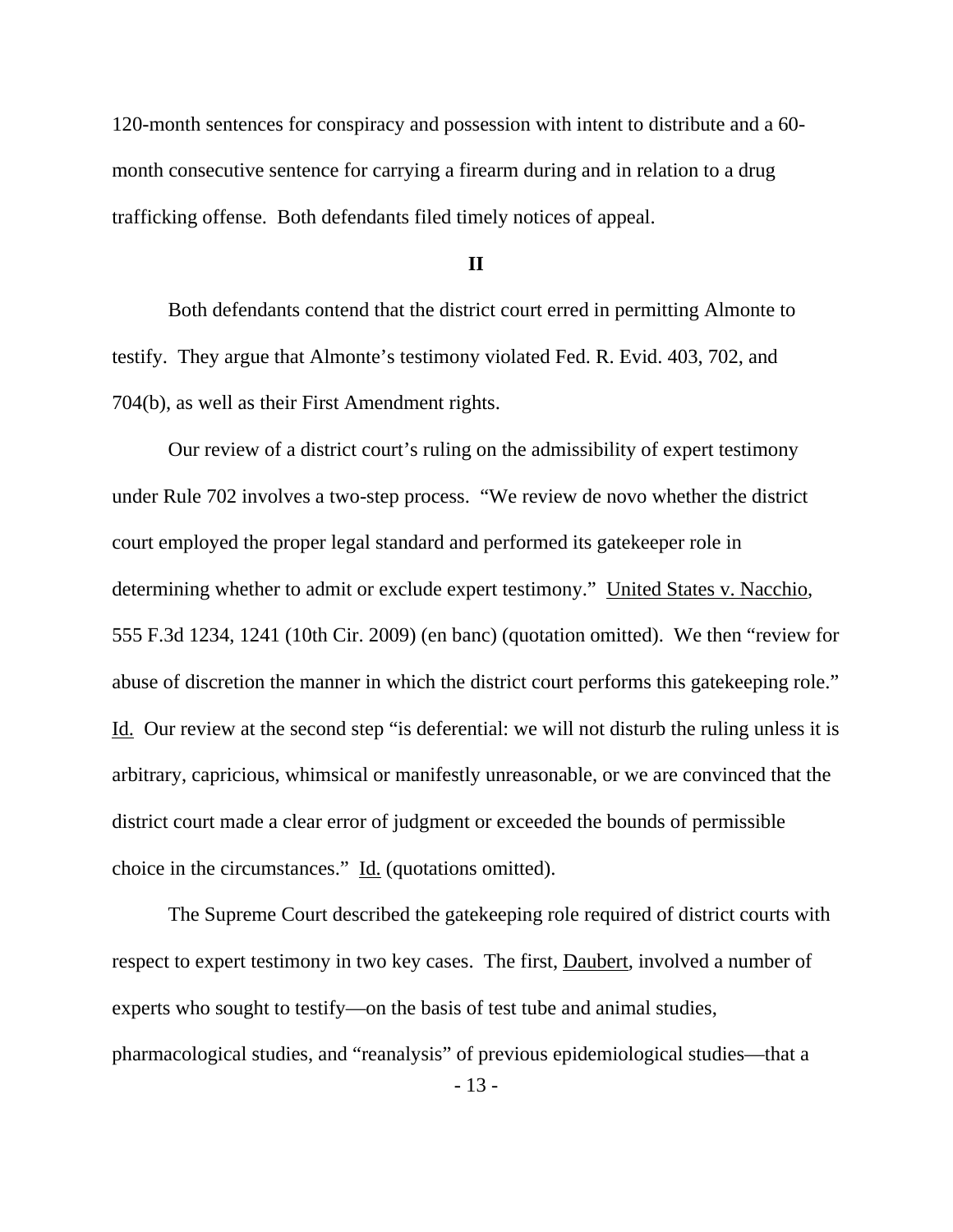120-month sentences for conspiracy and possession with intent to distribute and a 60 month consecutive sentence for carrying a firearm during and in relation to a drug trafficking offense. Both defendants filed timely notices of appeal.

**II** 

 Both defendants contend that the district court erred in permitting Almonte to testify. They argue that Almonte's testimony violated Fed. R. Evid. 403, 702, and 704(b), as well as their First Amendment rights.

Our review of a district court's ruling on the admissibility of expert testimony under Rule 702 involves a two-step process. "We review de novo whether the district court employed the proper legal standard and performed its gatekeeper role in determining whether to admit or exclude expert testimony." United States v. Nacchio, 555 F.3d 1234, 1241 (10th Cir. 2009) (en banc) (quotation omitted). We then "review for abuse of discretion the manner in which the district court performs this gatekeeping role." Id. Our review at the second step "is deferential: we will not disturb the ruling unless it is arbitrary, capricious, whimsical or manifestly unreasonable, or we are convinced that the district court made a clear error of judgment or exceeded the bounds of permissible choice in the circumstances." Id. (quotations omitted).

 The Supreme Court described the gatekeeping role required of district courts with respect to expert testimony in two key cases. The first, Daubert, involved a number of experts who sought to testify—on the basis of test tube and animal studies, pharmacological studies, and "reanalysis" of previous epidemiological studies—that a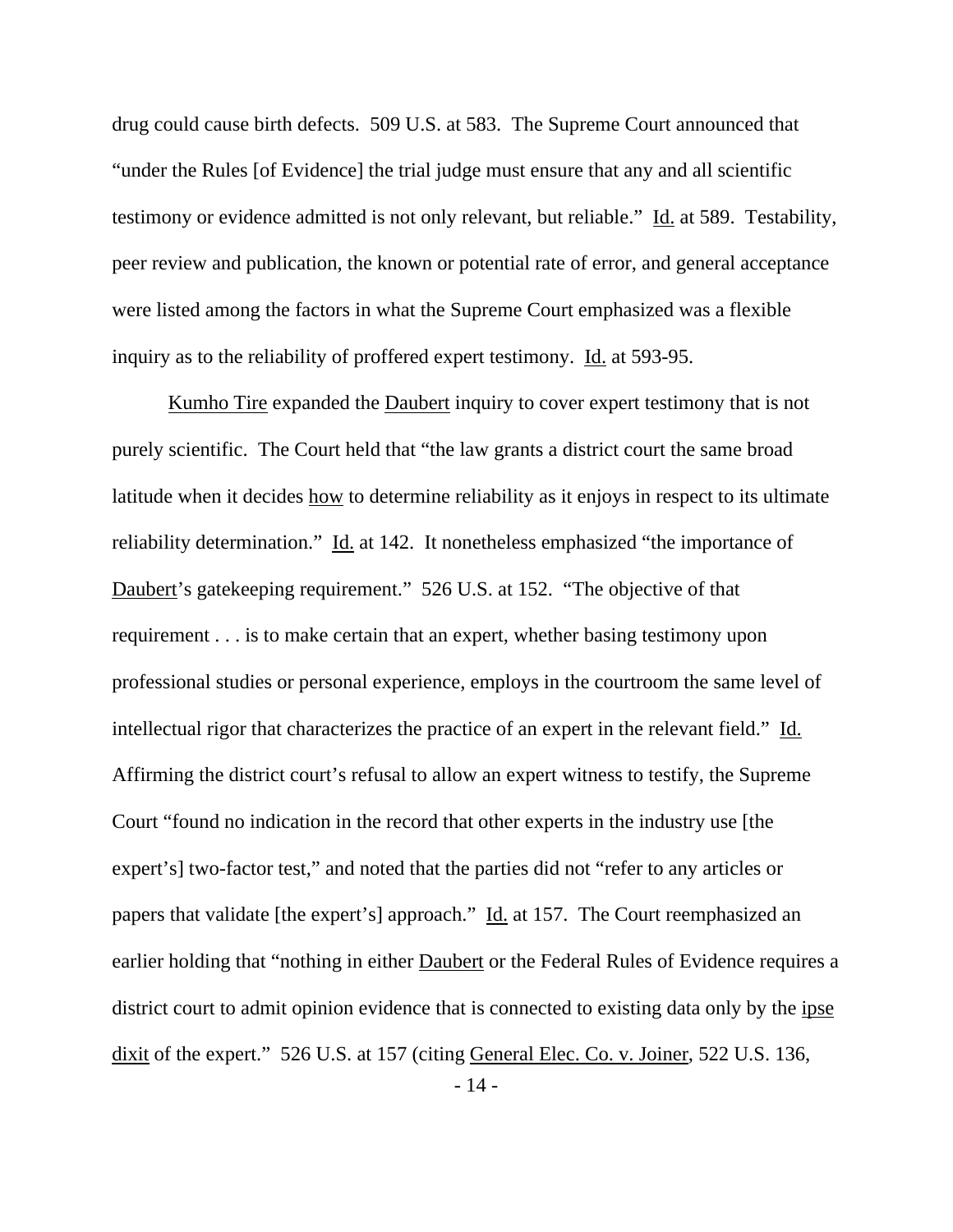drug could cause birth defects. 509 U.S. at 583. The Supreme Court announced that "under the Rules [of Evidence] the trial judge must ensure that any and all scientific testimony or evidence admitted is not only relevant, but reliable." Id. at 589. Testability, peer review and publication, the known or potential rate of error, and general acceptance were listed among the factors in what the Supreme Court emphasized was a flexible inquiry as to the reliability of proffered expert testimony. Id. at 593-95.

 Kumho Tire expanded the Daubert inquiry to cover expert testimony that is not purely scientific. The Court held that "the law grants a district court the same broad latitude when it decides how to determine reliability as it enjoys in respect to its ultimate reliability determination." Id. at 142. It nonetheless emphasized "the importance of Daubert's gatekeeping requirement." 526 U.S. at 152. "The objective of that requirement . . . is to make certain that an expert, whether basing testimony upon professional studies or personal experience, employs in the courtroom the same level of intellectual rigor that characterizes the practice of an expert in the relevant field." Id. Affirming the district court's refusal to allow an expert witness to testify, the Supreme Court "found no indication in the record that other experts in the industry use [the expert's] two-factor test," and noted that the parties did not "refer to any articles or papers that validate [the expert's] approach." Id. at 157. The Court reemphasized an earlier holding that "nothing in either Daubert or the Federal Rules of Evidence requires a district court to admit opinion evidence that is connected to existing data only by the ipse dixit of the expert." 526 U.S. at 157 (citing General Elec. Co. v. Joiner, 522 U.S. 136,

- 14 -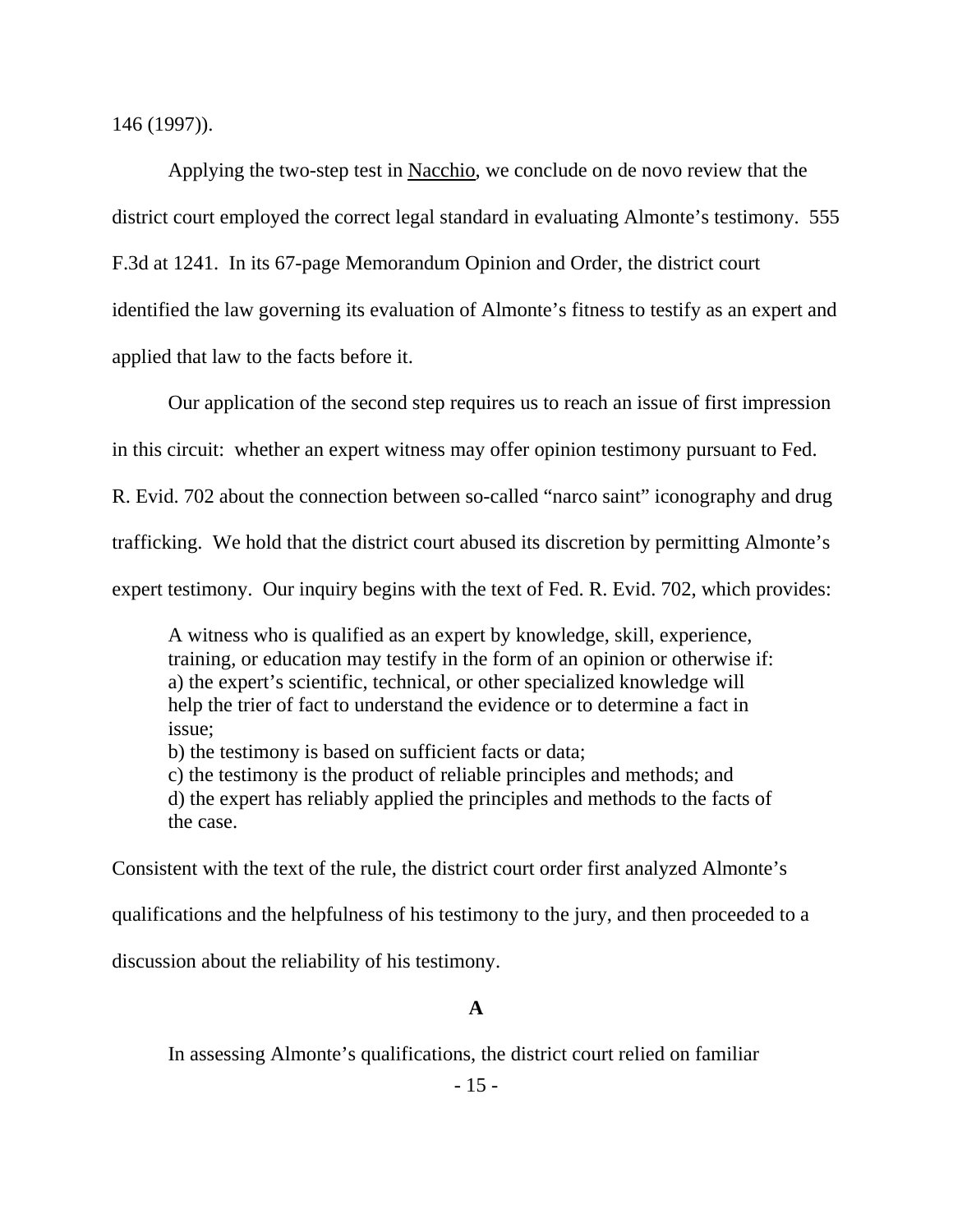146 (1997)).

Applying the two-step test in Nacchio, we conclude on de novo review that the district court employed the correct legal standard in evaluating Almonte's testimony. 555 F.3d at 1241. In its 67-page Memorandum Opinion and Order, the district court identified the law governing its evaluation of Almonte's fitness to testify as an expert and applied that law to the facts before it.

Our application of the second step requires us to reach an issue of first impression

in this circuit: whether an expert witness may offer opinion testimony pursuant to Fed.

R. Evid. 702 about the connection between so-called "narco saint" iconography and drug

trafficking. We hold that the district court abused its discretion by permitting Almonte's

expert testimony. Our inquiry begins with the text of Fed. R. Evid. 702, which provides:

A witness who is qualified as an expert by knowledge, skill, experience, training, or education may testify in the form of an opinion or otherwise if: a) the expert's scientific, technical, or other specialized knowledge will help the trier of fact to understand the evidence or to determine a fact in issue;

b) the testimony is based on sufficient facts or data;

c) the testimony is the product of reliable principles and methods; and d) the expert has reliably applied the principles and methods to the facts of the case.

Consistent with the text of the rule, the district court order first analyzed Almonte's

qualifications and the helpfulness of his testimony to the jury, and then proceeded to a

discussion about the reliability of his testimony.

### **A**

In assessing Almonte's qualifications, the district court relied on familiar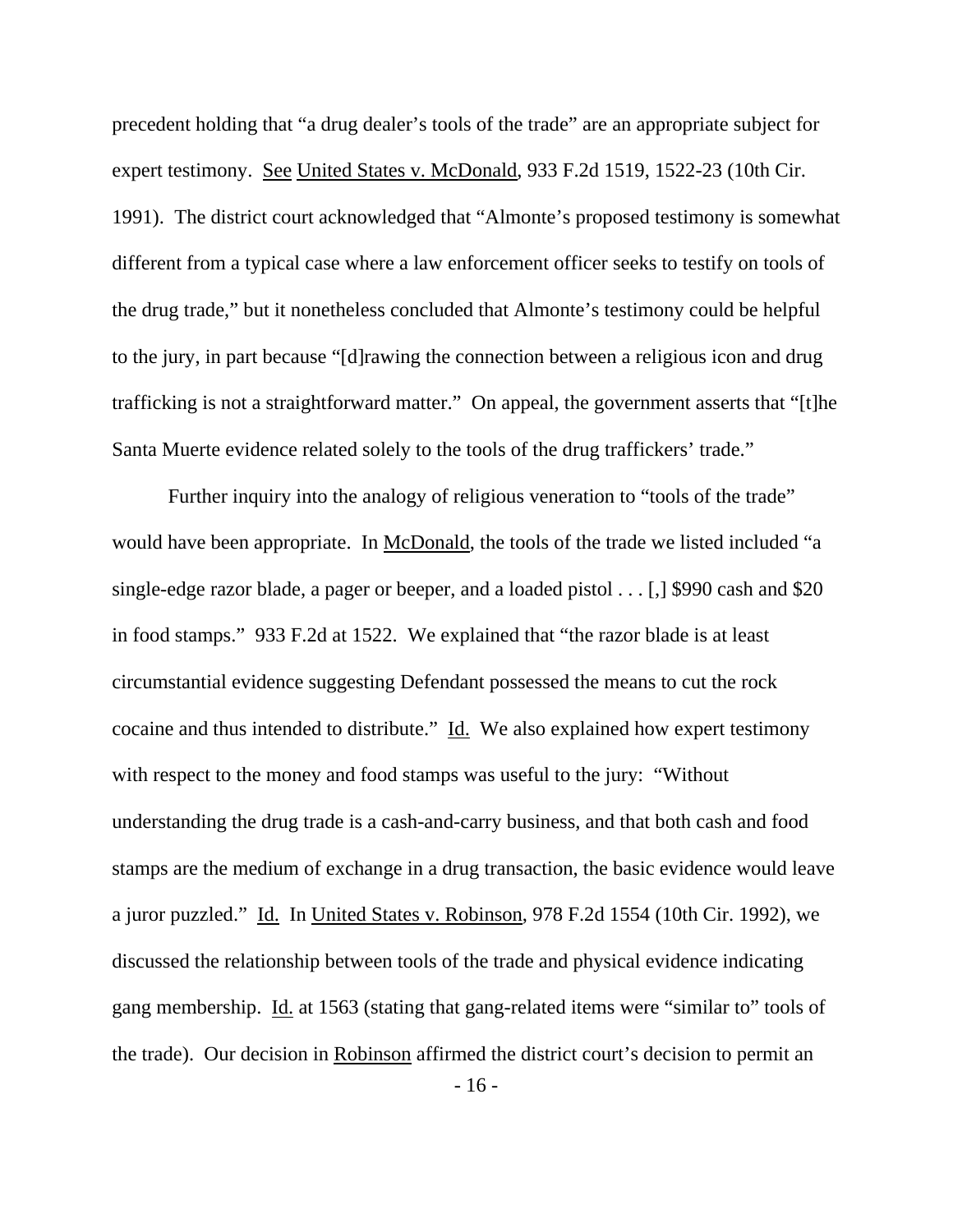precedent holding that "a drug dealer's tools of the trade" are an appropriate subject for expert testimony. See United States v. McDonald, 933 F.2d 1519, 1522-23 (10th Cir. 1991). The district court acknowledged that "Almonte's proposed testimony is somewhat different from a typical case where a law enforcement officer seeks to testify on tools of the drug trade," but it nonetheless concluded that Almonte's testimony could be helpful to the jury, in part because "[d]rawing the connection between a religious icon and drug trafficking is not a straightforward matter." On appeal, the government asserts that "[t]he Santa Muerte evidence related solely to the tools of the drug traffickers' trade."

Further inquiry into the analogy of religious veneration to "tools of the trade" would have been appropriate. In McDonald, the tools of the trade we listed included "a single-edge razor blade, a pager or beeper, and a loaded pistol . . . [,] \$990 cash and \$20 in food stamps." 933 F.2d at 1522. We explained that "the razor blade is at least circumstantial evidence suggesting Defendant possessed the means to cut the rock cocaine and thus intended to distribute." Id. We also explained how expert testimony with respect to the money and food stamps was useful to the jury: "Without understanding the drug trade is a cash-and-carry business, and that both cash and food stamps are the medium of exchange in a drug transaction, the basic evidence would leave a juror puzzled." Id. In United States v. Robinson, 978 F.2d 1554 (10th Cir. 1992), we discussed the relationship between tools of the trade and physical evidence indicating gang membership. Id. at 1563 (stating that gang-related items were "similar to" tools of the trade). Our decision in Robinson affirmed the district court's decision to permit an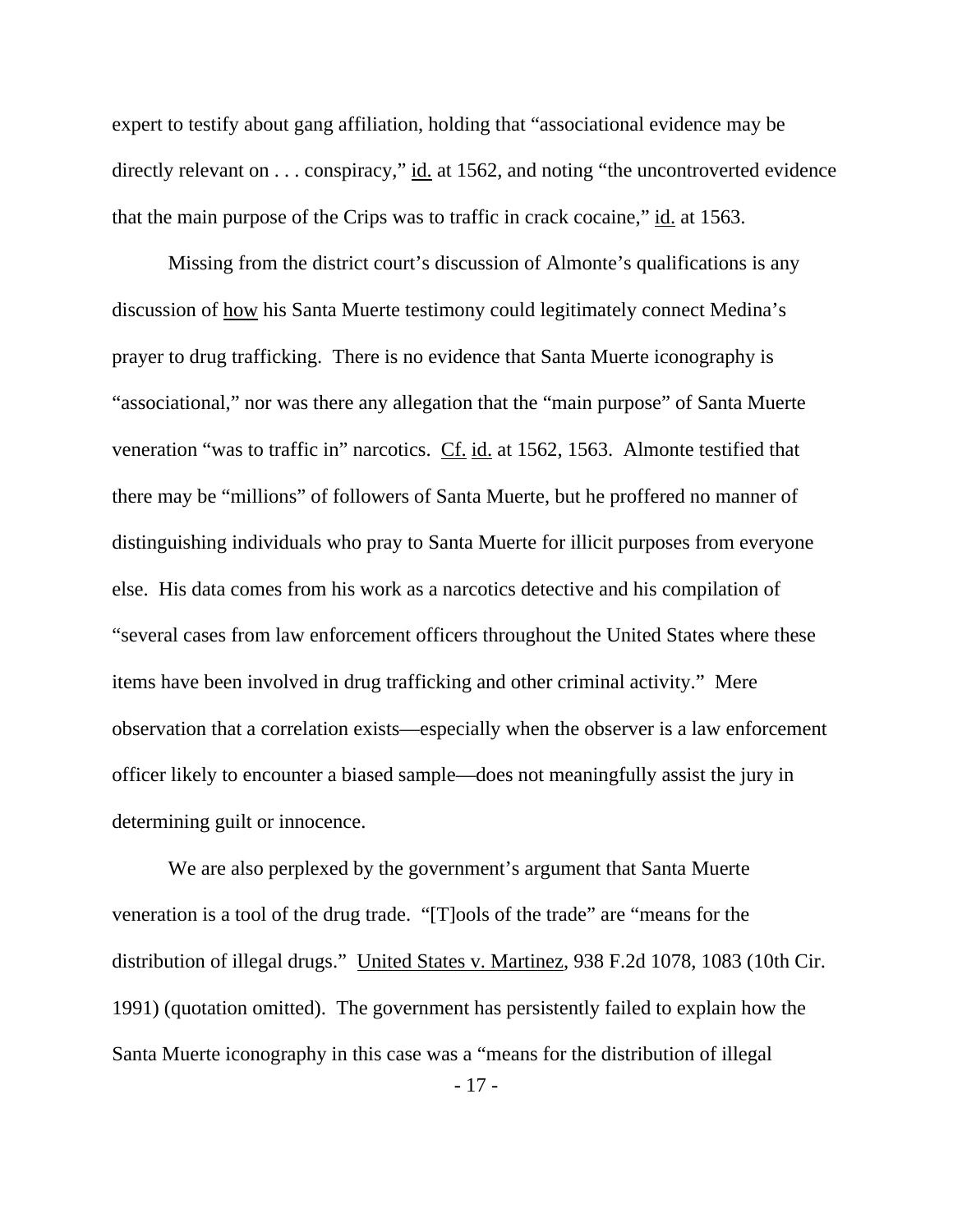expert to testify about gang affiliation, holding that "associational evidence may be directly relevant on . . . conspiracy," id. at 1562, and noting "the uncontroverted evidence that the main purpose of the Crips was to traffic in crack cocaine," id. at 1563.

 Missing from the district court's discussion of Almonte's qualifications is any discussion of how his Santa Muerte testimony could legitimately connect Medina's prayer to drug trafficking. There is no evidence that Santa Muerte iconography is "associational," nor was there any allegation that the "main purpose" of Santa Muerte veneration "was to traffic in" narcotics. Cf. id. at 1562, 1563. Almonte testified that there may be "millions" of followers of Santa Muerte, but he proffered no manner of distinguishing individuals who pray to Santa Muerte for illicit purposes from everyone else. His data comes from his work as a narcotics detective and his compilation of "several cases from law enforcement officers throughout the United States where these items have been involved in drug trafficking and other criminal activity." Mere observation that a correlation exists—especially when the observer is a law enforcement officer likely to encounter a biased sample—does not meaningfully assist the jury in determining guilt or innocence.

We are also perplexed by the government's argument that Santa Muerte veneration is a tool of the drug trade. "[T]ools of the trade" are "means for the distribution of illegal drugs." United States v. Martinez, 938 F.2d 1078, 1083 (10th Cir. 1991) (quotation omitted). The government has persistently failed to explain how the Santa Muerte iconography in this case was a "means for the distribution of illegal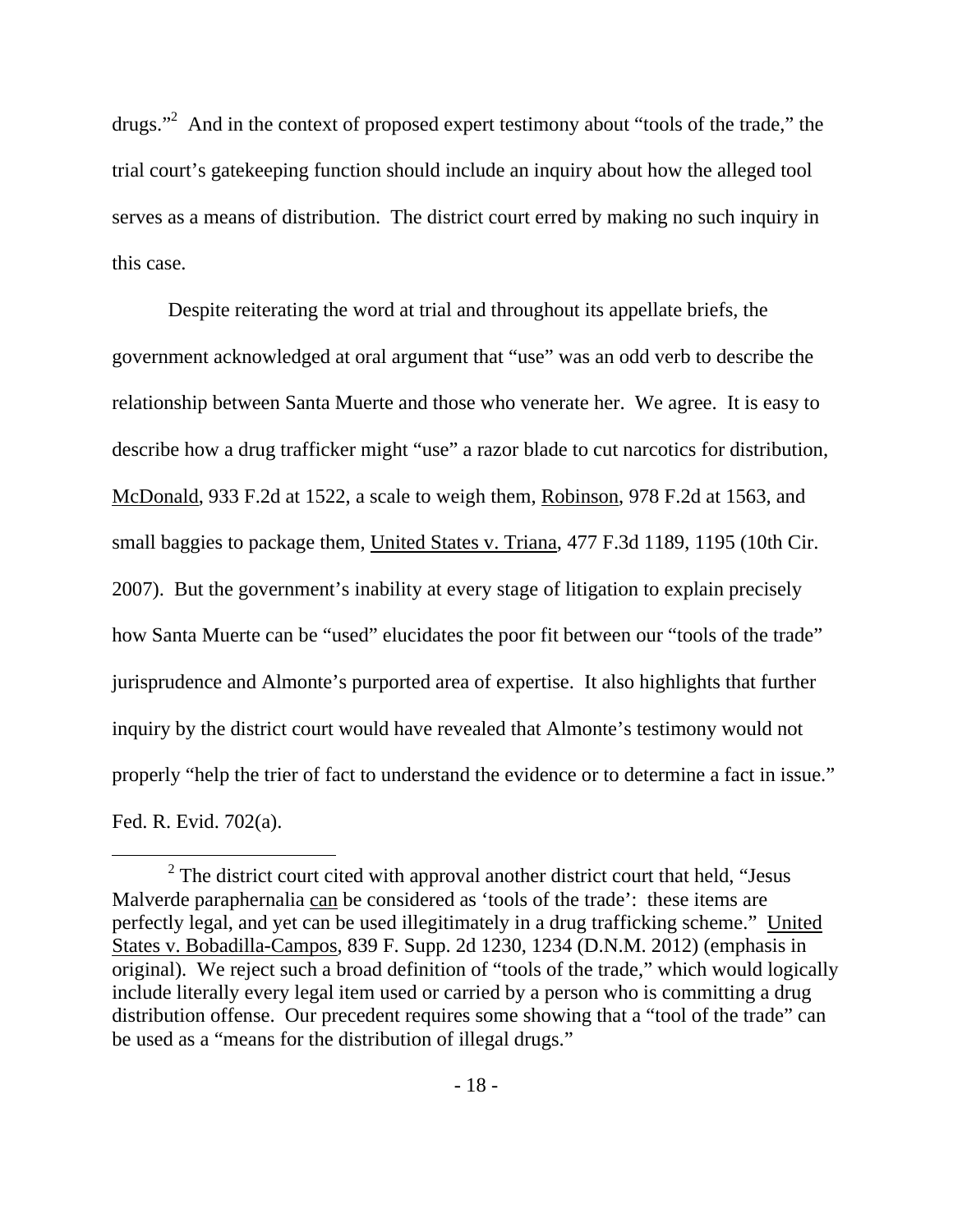drugs."<sup>2</sup> And in the context of proposed expert testimony about "tools of the trade," the trial court's gatekeeping function should include an inquiry about how the alleged tool serves as a means of distribution. The district court erred by making no such inquiry in this case.

Despite reiterating the word at trial and throughout its appellate briefs, the government acknowledged at oral argument that "use" was an odd verb to describe the relationship between Santa Muerte and those who venerate her. We agree. It is easy to describe how a drug trafficker might "use" a razor blade to cut narcotics for distribution, McDonald, 933 F.2d at 1522, a scale to weigh them, Robinson, 978 F.2d at 1563, and small baggies to package them, United States v. Triana, 477 F.3d 1189, 1195 (10th Cir. 2007). But the government's inability at every stage of litigation to explain precisely how Santa Muerte can be "used" elucidates the poor fit between our "tools of the trade" jurisprudence and Almonte's purported area of expertise. It also highlights that further inquiry by the district court would have revealed that Almonte's testimony would not properly "help the trier of fact to understand the evidence or to determine a fact in issue." Fed. R. Evid. 702(a).

 <sup>2</sup>  $2^{\circ}$  The district court cited with approval another district court that held, "Jesus" Malverde paraphernalia can be considered as 'tools of the trade': these items are perfectly legal, and yet can be used illegitimately in a drug trafficking scheme." United States v. Bobadilla-Campos, 839 F. Supp. 2d 1230, 1234 (D.N.M. 2012) (emphasis in original). We reject such a broad definition of "tools of the trade," which would logically include literally every legal item used or carried by a person who is committing a drug distribution offense. Our precedent requires some showing that a "tool of the trade" can be used as a "means for the distribution of illegal drugs."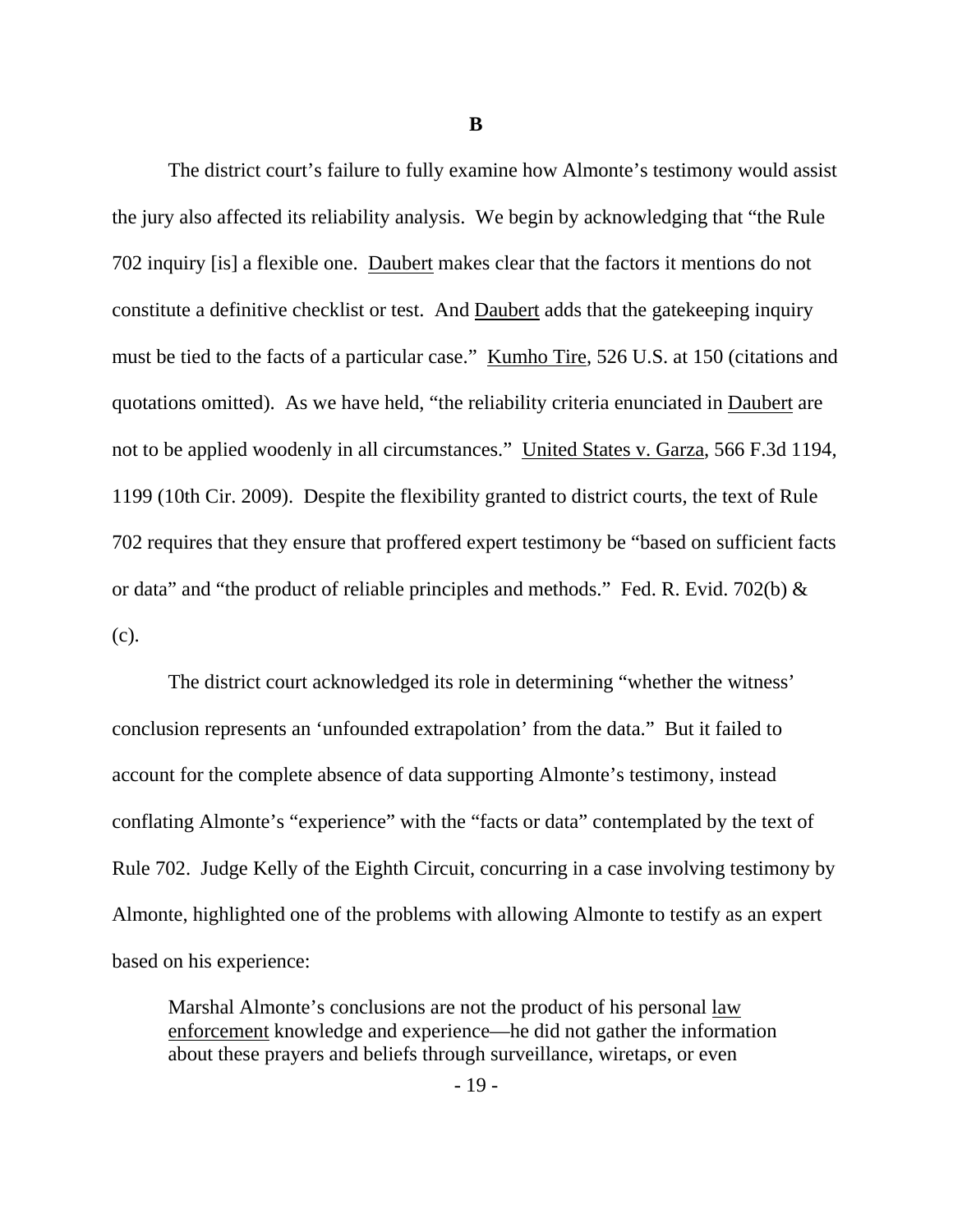**B** 

 The district court's failure to fully examine how Almonte's testimony would assist the jury also affected its reliability analysis. We begin by acknowledging that "the Rule 702 inquiry [is] a flexible one. Daubert makes clear that the factors it mentions do not constitute a definitive checklist or test. And Daubert adds that the gatekeeping inquiry must be tied to the facts of a particular case." Kumho Tire, 526 U.S. at 150 (citations and quotations omitted). As we have held, "the reliability criteria enunciated in Daubert are not to be applied woodenly in all circumstances." United States v. Garza, 566 F.3d 1194, 1199 (10th Cir. 2009). Despite the flexibility granted to district courts, the text of Rule 702 requires that they ensure that proffered expert testimony be "based on sufficient facts or data" and "the product of reliable principles and methods." Fed. R. Evid. 702(b)  $\&$ (c).

 The district court acknowledged its role in determining "whether the witness' conclusion represents an 'unfounded extrapolation' from the data." But it failed to account for the complete absence of data supporting Almonte's testimony, instead conflating Almonte's "experience" with the "facts or data" contemplated by the text of Rule 702. Judge Kelly of the Eighth Circuit, concurring in a case involving testimony by Almonte, highlighted one of the problems with allowing Almonte to testify as an expert based on his experience:

Marshal Almonte's conclusions are not the product of his personal law enforcement knowledge and experience—he did not gather the information about these prayers and beliefs through surveillance, wiretaps, or even

- 19 -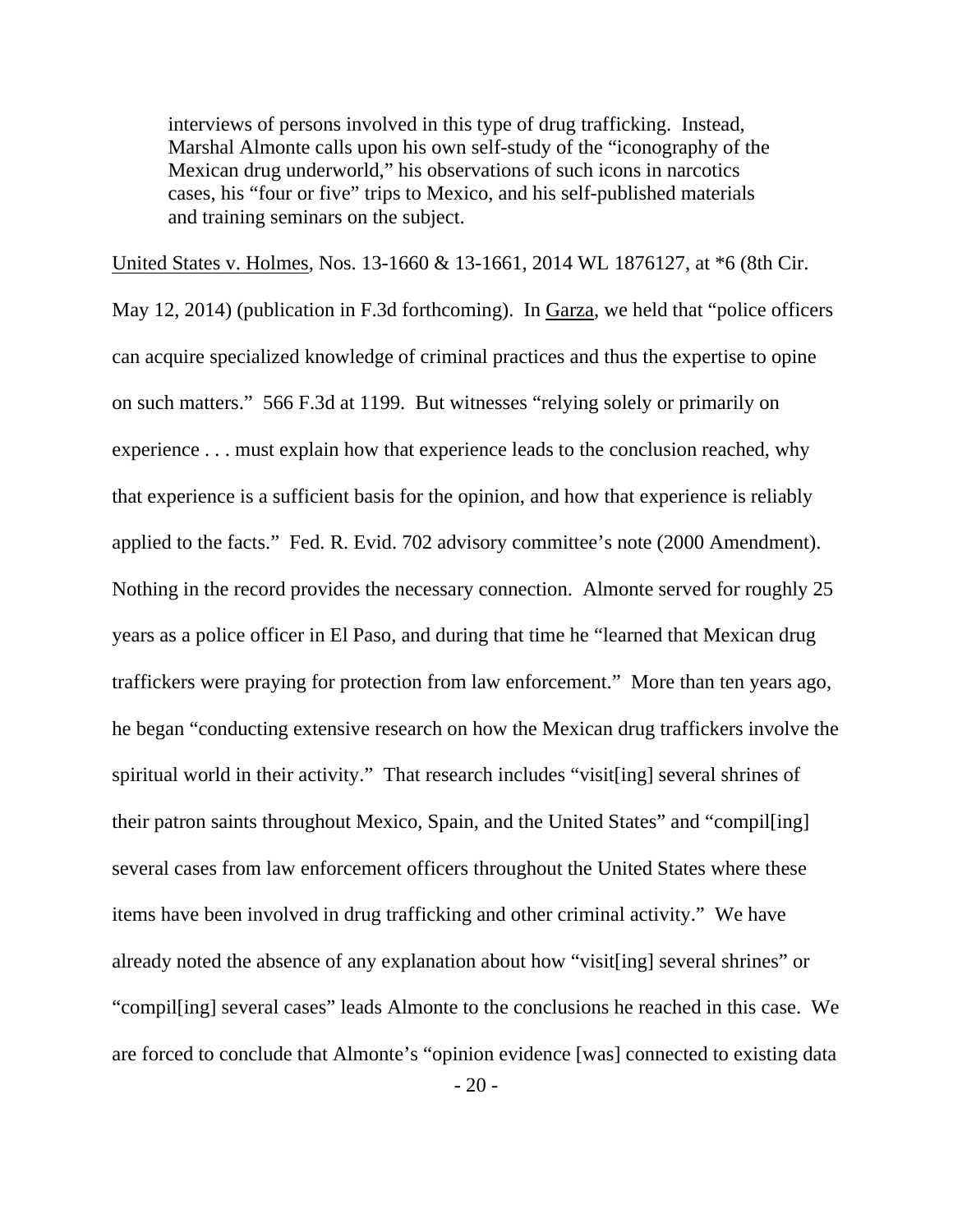interviews of persons involved in this type of drug trafficking. Instead, Marshal Almonte calls upon his own self-study of the "iconography of the Mexican drug underworld," his observations of such icons in narcotics cases, his "four or five" trips to Mexico, and his self-published materials and training seminars on the subject.

 $-20-$ United States v. Holmes, Nos. 13-1660 & 13-1661, 2014 WL 1876127, at \*6 (8th Cir. May 12, 2014) (publication in F.3d forthcoming). In Garza, we held that "police officers can acquire specialized knowledge of criminal practices and thus the expertise to opine on such matters." 566 F.3d at 1199. But witnesses "relying solely or primarily on experience . . . must explain how that experience leads to the conclusion reached, why that experience is a sufficient basis for the opinion, and how that experience is reliably applied to the facts." Fed. R. Evid. 702 advisory committee's note (2000 Amendment). Nothing in the record provides the necessary connection. Almonte served for roughly 25 years as a police officer in El Paso, and during that time he "learned that Mexican drug traffickers were praying for protection from law enforcement." More than ten years ago, he began "conducting extensive research on how the Mexican drug traffickers involve the spiritual world in their activity." That research includes "visit[ing] several shrines of their patron saints throughout Mexico, Spain, and the United States" and "compil[ing] several cases from law enforcement officers throughout the United States where these items have been involved in drug trafficking and other criminal activity." We have already noted the absence of any explanation about how "visit[ing] several shrines" or "compil[ing] several cases" leads Almonte to the conclusions he reached in this case. We are forced to conclude that Almonte's "opinion evidence [was] connected to existing data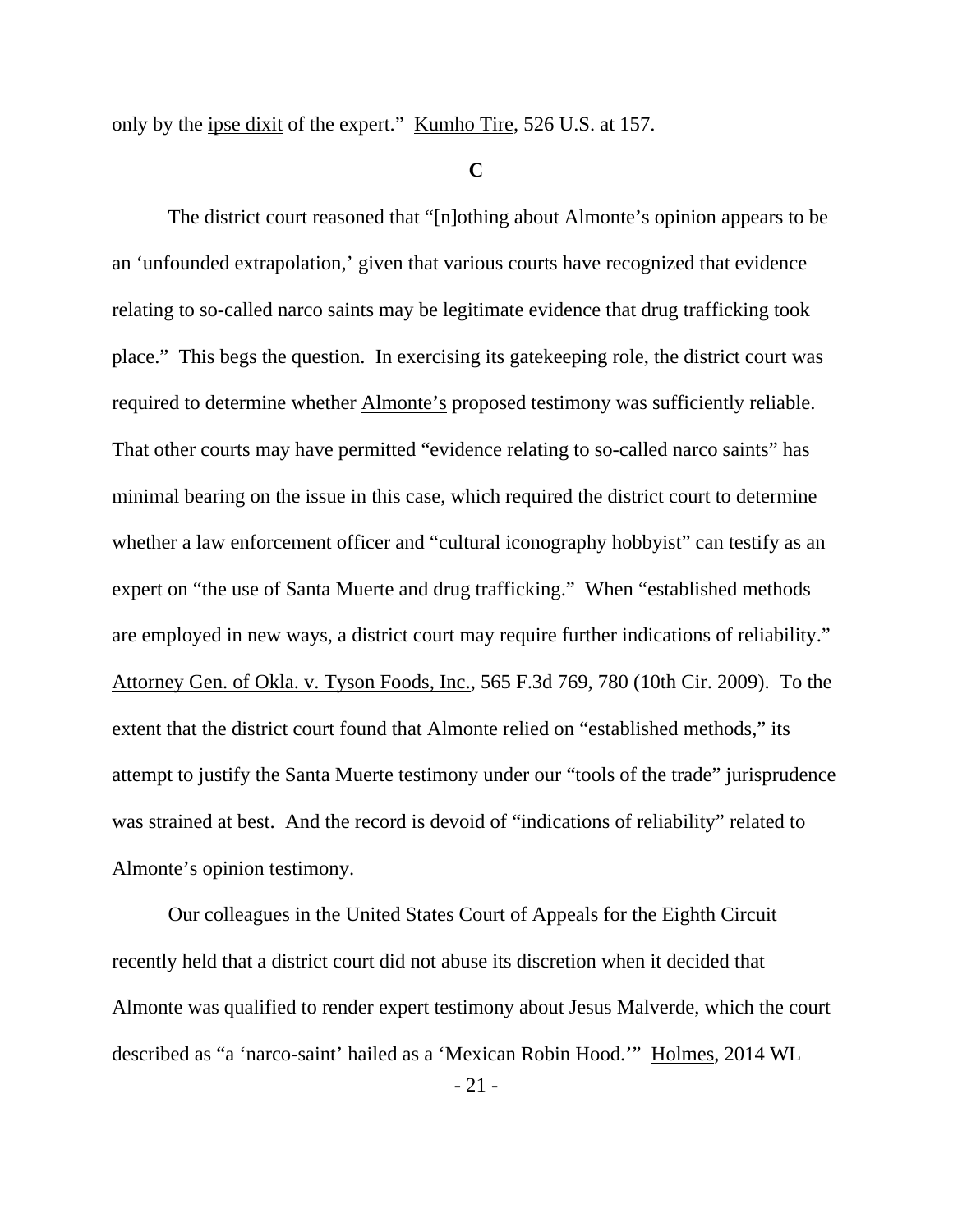only by the ipse dixit of the expert." Kumho Tire, 526 U.S. at 157.

#### **C**

 The district court reasoned that "[n]othing about Almonte's opinion appears to be an 'unfounded extrapolation,' given that various courts have recognized that evidence relating to so-called narco saints may be legitimate evidence that drug trafficking took place." This begs the question. In exercising its gatekeeping role, the district court was required to determine whether Almonte's proposed testimony was sufficiently reliable. That other courts may have permitted "evidence relating to so-called narco saints" has minimal bearing on the issue in this case, which required the district court to determine whether a law enforcement officer and "cultural iconography hobbyist" can testify as an expert on "the use of Santa Muerte and drug trafficking." When "established methods are employed in new ways, a district court may require further indications of reliability." Attorney Gen. of Okla. v. Tyson Foods, Inc., 565 F.3d 769, 780 (10th Cir. 2009). To the extent that the district court found that Almonte relied on "established methods," its attempt to justify the Santa Muerte testimony under our "tools of the trade" jurisprudence was strained at best. And the record is devoid of "indications of reliability" related to Almonte's opinion testimony.

 Our colleagues in the United States Court of Appeals for the Eighth Circuit recently held that a district court did not abuse its discretion when it decided that Almonte was qualified to render expert testimony about Jesus Malverde, which the court described as "a 'narco-saint' hailed as a 'Mexican Robin Hood.'" Holmes, 2014 WL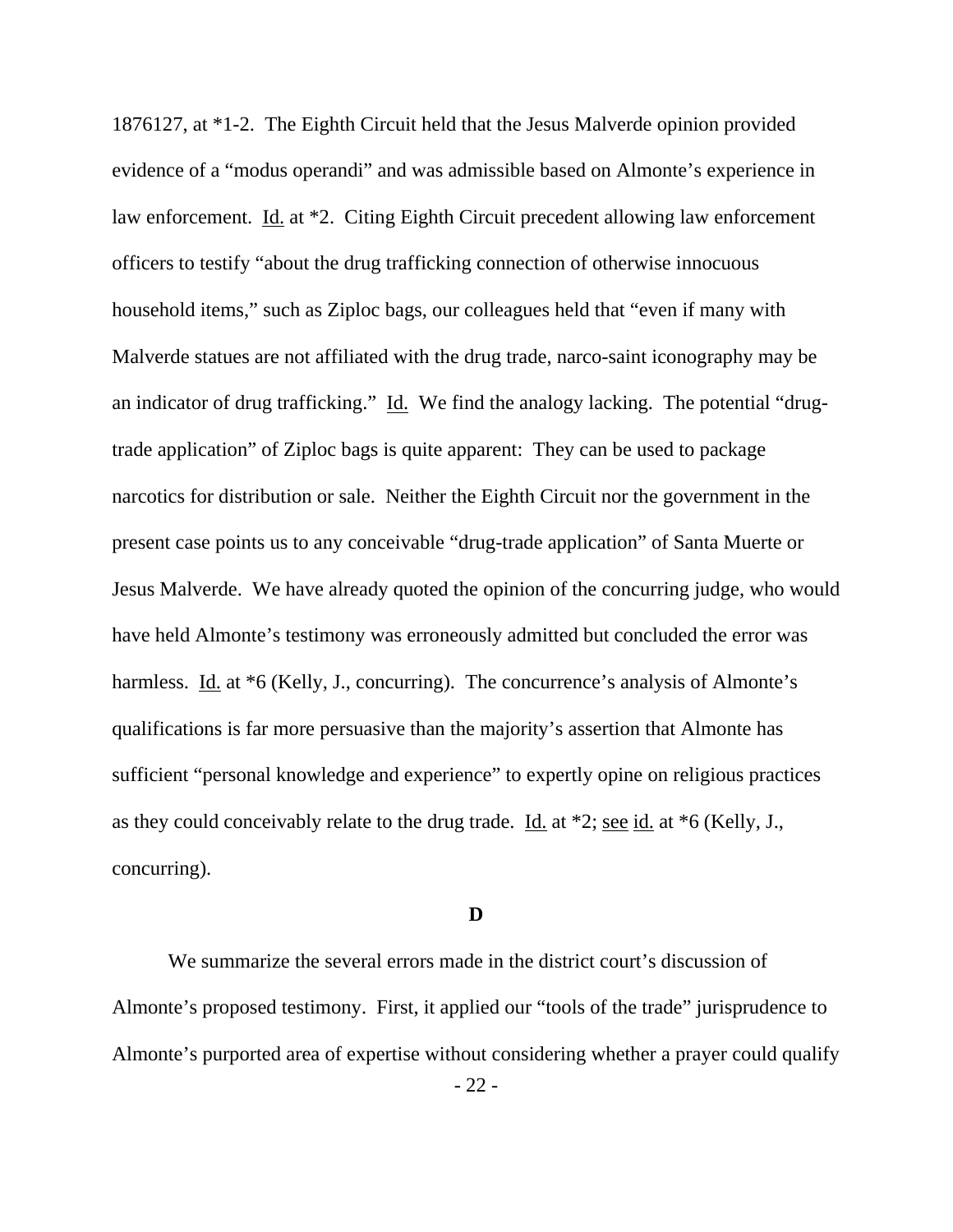1876127, at \*1-2. The Eighth Circuit held that the Jesus Malverde opinion provided evidence of a "modus operandi" and was admissible based on Almonte's experience in law enforcement. Id. at \*2. Citing Eighth Circuit precedent allowing law enforcement officers to testify "about the drug trafficking connection of otherwise innocuous household items," such as Ziploc bags, our colleagues held that "even if many with Malverde statues are not affiliated with the drug trade, narco-saint iconography may be an indicator of drug trafficking." Id. We find the analogy lacking. The potential "drugtrade application" of Ziploc bags is quite apparent: They can be used to package narcotics for distribution or sale. Neither the Eighth Circuit nor the government in the present case points us to any conceivable "drug-trade application" of Santa Muerte or Jesus Malverde. We have already quoted the opinion of the concurring judge, who would have held Almonte's testimony was erroneously admitted but concluded the error was harmless. Id. at  $*6$  (Kelly, J., concurring). The concurrence's analysis of Almonte's qualifications is far more persuasive than the majority's assertion that Almonte has sufficient "personal knowledge and experience" to expertly opine on religious practices as they could conceivably relate to the drug trade. Id. at \*2; see id. at \*6 (Kelly, J., concurring).

### **D**

 We summarize the several errors made in the district court's discussion of Almonte's proposed testimony. First, it applied our "tools of the trade" jurisprudence to Almonte's purported area of expertise without considering whether a prayer could qualify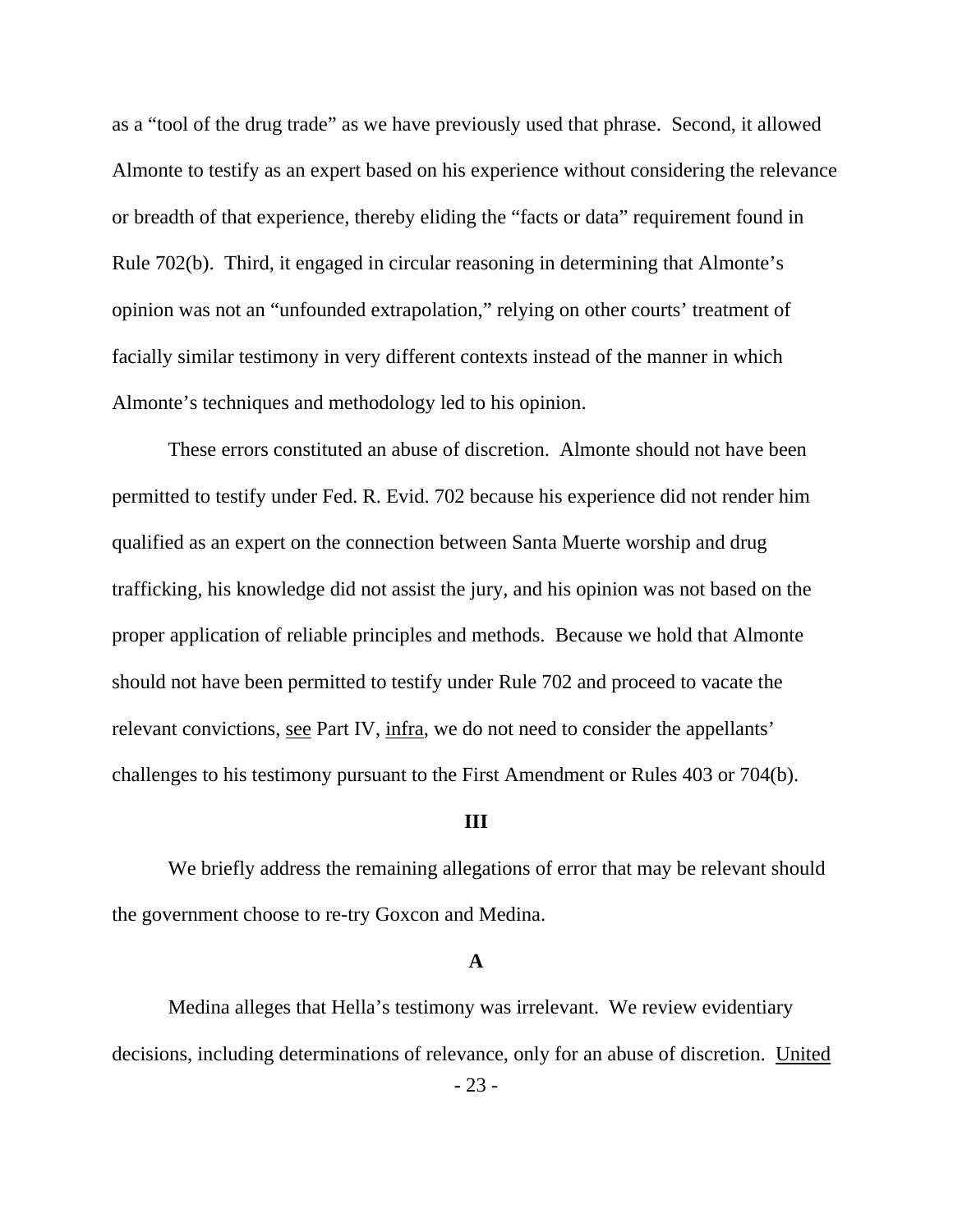as a "tool of the drug trade" as we have previously used that phrase. Second, it allowed Almonte to testify as an expert based on his experience without considering the relevance or breadth of that experience, thereby eliding the "facts or data" requirement found in Rule 702(b). Third, it engaged in circular reasoning in determining that Almonte's opinion was not an "unfounded extrapolation," relying on other courts' treatment of facially similar testimony in very different contexts instead of the manner in which Almonte's techniques and methodology led to his opinion.

 These errors constituted an abuse of discretion. Almonte should not have been permitted to testify under Fed. R. Evid. 702 because his experience did not render him qualified as an expert on the connection between Santa Muerte worship and drug trafficking, his knowledge did not assist the jury, and his opinion was not based on the proper application of reliable principles and methods. Because we hold that Almonte should not have been permitted to testify under Rule 702 and proceed to vacate the relevant convictions, see Part IV, infra, we do not need to consider the appellants' challenges to his testimony pursuant to the First Amendment or Rules 403 or 704(b).

### **III**

We briefly address the remaining allegations of error that may be relevant should the government choose to re-try Goxcon and Medina.

#### **A**

- 23 - Medina alleges that Hella's testimony was irrelevant. We review evidentiary decisions, including determinations of relevance, only for an abuse of discretion. United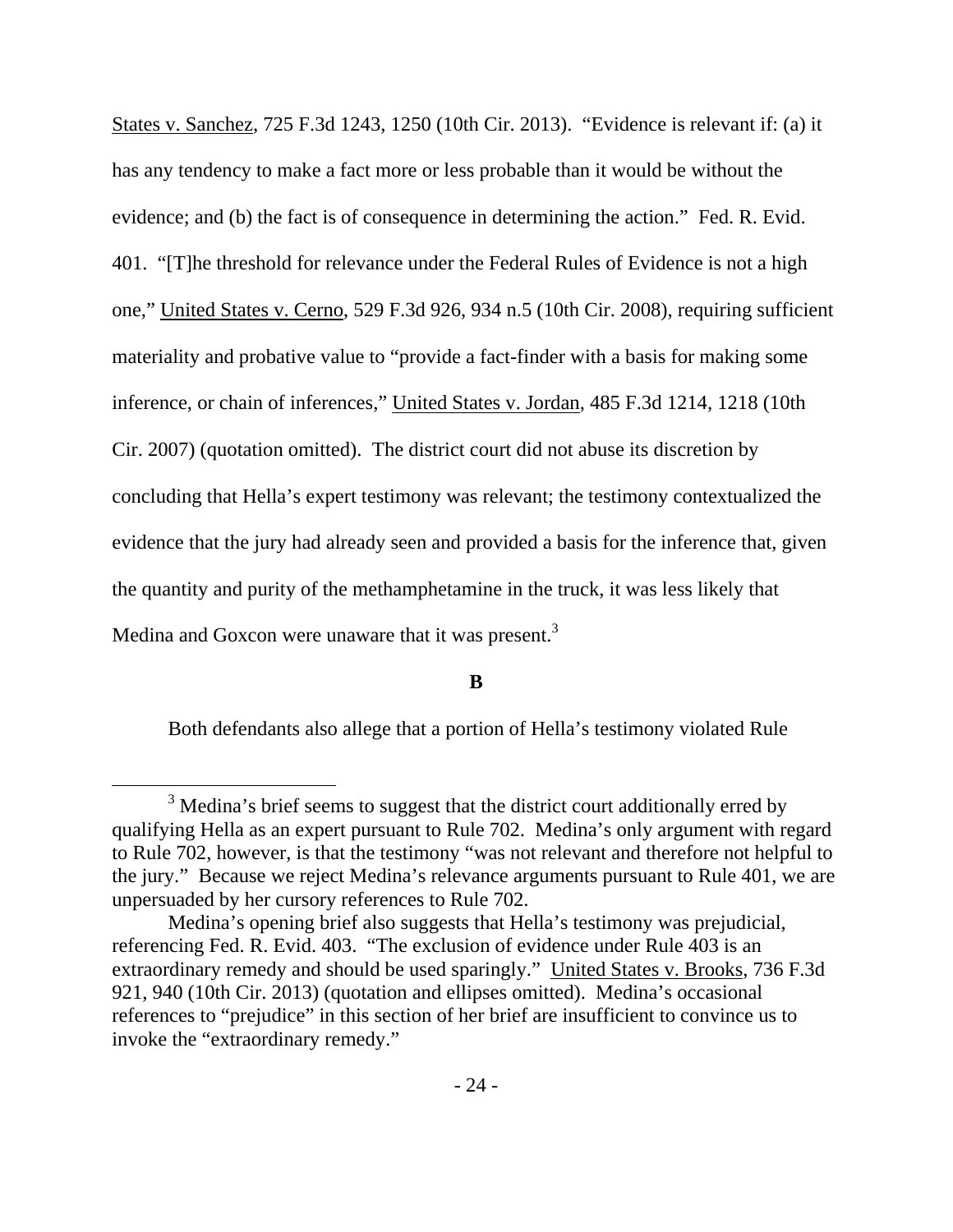States v. Sanchez, 725 F.3d 1243, 1250 (10th Cir. 2013). "Evidence is relevant if: (a) it has any tendency to make a fact more or less probable than it would be without the evidence; and (b) the fact is of consequence in determining the action." Fed. R. Evid. 401. "[T]he threshold for relevance under the Federal Rules of Evidence is not a high one," United States v. Cerno, 529 F.3d 926, 934 n.5 (10th Cir. 2008), requiring sufficient materiality and probative value to "provide a fact-finder with a basis for making some inference, or chain of inferences," United States v. Jordan, 485 F.3d 1214, 1218 (10th Cir. 2007) (quotation omitted). The district court did not abuse its discretion by concluding that Hella's expert testimony was relevant; the testimony contextualized the evidence that the jury had already seen and provided a basis for the inference that, given the quantity and purity of the methamphetamine in the truck, it was less likely that Medina and Goxcon were unaware that it was present.<sup>3</sup>

#### **B**

Both defendants also allege that a portion of Hella's testimony violated Rule

 $\frac{1}{3}$  $3$  Medina's brief seems to suggest that the district court additionally erred by qualifying Hella as an expert pursuant to Rule 702. Medina's only argument with regard to Rule 702, however, is that the testimony "was not relevant and therefore not helpful to the jury." Because we reject Medina's relevance arguments pursuant to Rule 401, we are unpersuaded by her cursory references to Rule 702.

Medina's opening brief also suggests that Hella's testimony was prejudicial, referencing Fed. R. Evid. 403. "The exclusion of evidence under Rule 403 is an extraordinary remedy and should be used sparingly." United States v. Brooks, 736 F.3d 921, 940 (10th Cir. 2013) (quotation and ellipses omitted). Medina's occasional references to "prejudice" in this section of her brief are insufficient to convince us to invoke the "extraordinary remedy."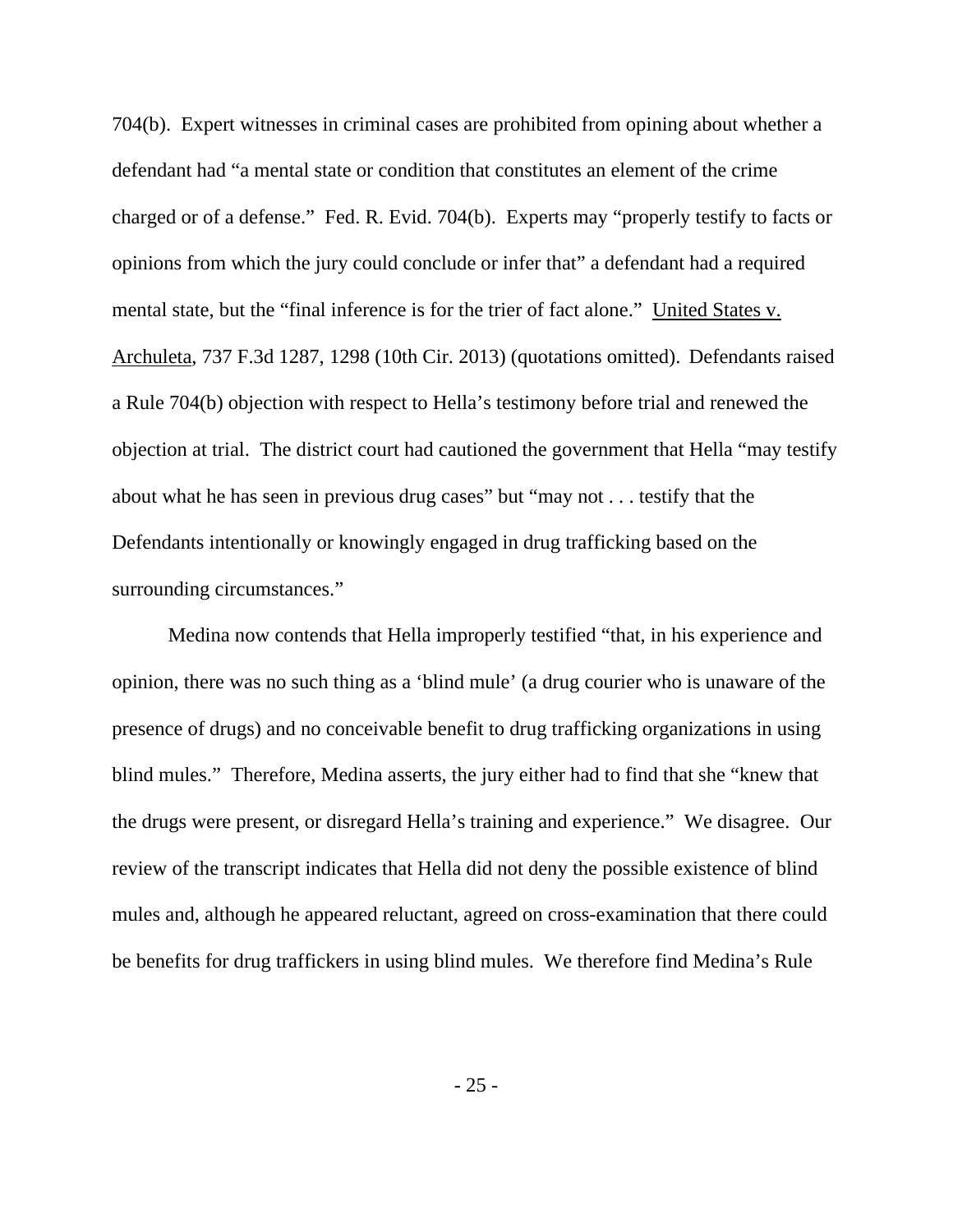704(b). Expert witnesses in criminal cases are prohibited from opining about whether a defendant had "a mental state or condition that constitutes an element of the crime charged or of a defense." Fed. R. Evid. 704(b). Experts may "properly testify to facts or opinions from which the jury could conclude or infer that" a defendant had a required mental state, but the "final inference is for the trier of fact alone." United States v. Archuleta, 737 F.3d 1287, 1298 (10th Cir. 2013) (quotations omitted). Defendants raised a Rule 704(b) objection with respect to Hella's testimony before trial and renewed the objection at trial. The district court had cautioned the government that Hella "may testify about what he has seen in previous drug cases" but "may not . . . testify that the Defendants intentionally or knowingly engaged in drug trafficking based on the surrounding circumstances."

Medina now contends that Hella improperly testified "that, in his experience and opinion, there was no such thing as a 'blind mule' (a drug courier who is unaware of the presence of drugs) and no conceivable benefit to drug trafficking organizations in using blind mules." Therefore, Medina asserts, the jury either had to find that she "knew that the drugs were present, or disregard Hella's training and experience." We disagree. Our review of the transcript indicates that Hella did not deny the possible existence of blind mules and, although he appeared reluctant, agreed on cross-examination that there could be benefits for drug traffickers in using blind mules. We therefore find Medina's Rule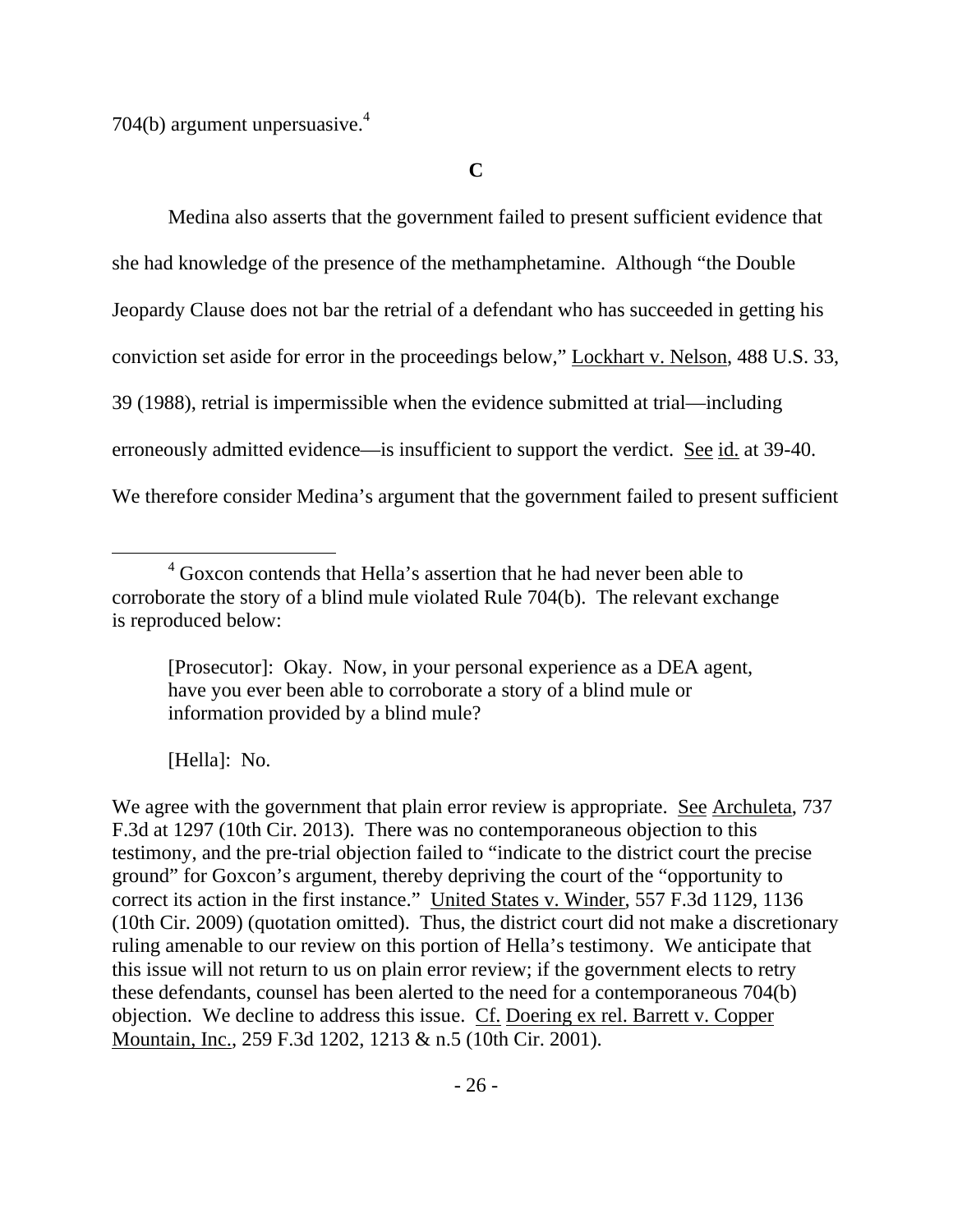704(b) argument unpersuasive. $4$ 

**C** 

 Medina also asserts that the government failed to present sufficient evidence that she had knowledge of the presence of the methamphetamine. Although "the Double Jeopardy Clause does not bar the retrial of a defendant who has succeeded in getting his conviction set aside for error in the proceedings below," Lockhart v. Nelson, 488 U.S. 33, 39 (1988), retrial is impermissible when the evidence submitted at trial—including erroneously admitted evidence—is insufficient to support the verdict. See id. at 39-40. We therefore consider Medina's argument that the government failed to present sufficient

[Hella]: No.

We agree with the government that plain error review is appropriate. See Archuleta, 737 F.3d at 1297 (10th Cir. 2013). There was no contemporaneous objection to this testimony, and the pre-trial objection failed to "indicate to the district court the precise ground" for Goxcon's argument, thereby depriving the court of the "opportunity to correct its action in the first instance." United States v. Winder, 557 F.3d 1129, 1136 (10th Cir. 2009) (quotation omitted). Thus, the district court did not make a discretionary ruling amenable to our review on this portion of Hella's testimony. We anticipate that this issue will not return to us on plain error review; if the government elects to retry these defendants, counsel has been alerted to the need for a contemporaneous 704(b) objection. We decline to address this issue. Cf. Doering ex rel. Barrett v. Copper Mountain, Inc., 259 F.3d 1202, 1213 & n.5 (10th Cir. 2001).

 $\overline{4}$ <sup>4</sup> Goxcon contends that Hella's assertion that he had never been able to corroborate the story of a blind mule violated Rule 704(b). The relevant exchange is reproduced below:

<sup>[</sup>Prosecutor]: Okay. Now, in your personal experience as a DEA agent, have you ever been able to corroborate a story of a blind mule or information provided by a blind mule?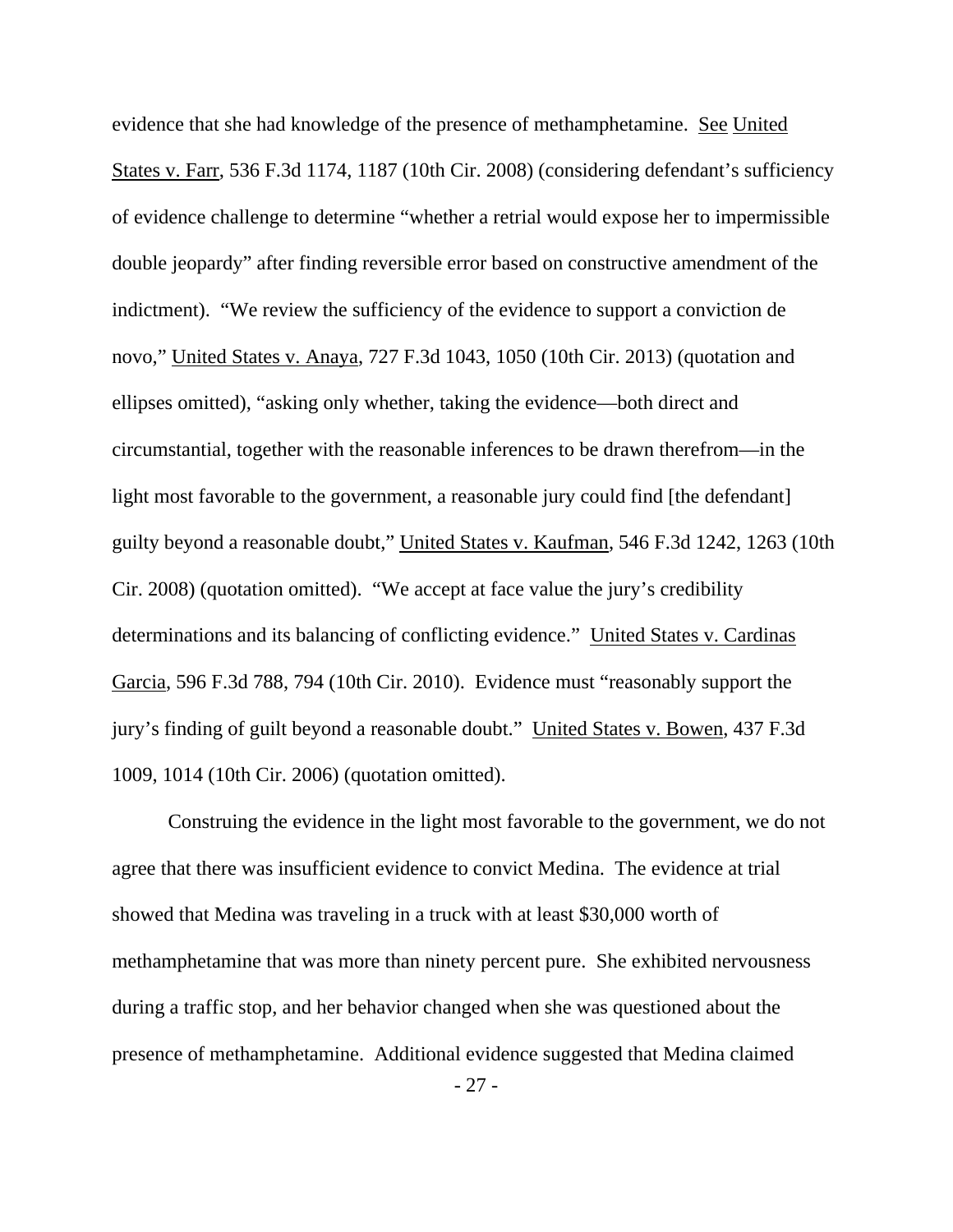evidence that she had knowledge of the presence of methamphetamine. See United States v. Farr, 536 F.3d 1174, 1187 (10th Cir. 2008) (considering defendant's sufficiency of evidence challenge to determine "whether a retrial would expose her to impermissible double jeopardy" after finding reversible error based on constructive amendment of the indictment). "We review the sufficiency of the evidence to support a conviction de novo," United States v. Anaya, 727 F.3d 1043, 1050 (10th Cir. 2013) (quotation and ellipses omitted), "asking only whether, taking the evidence—both direct and circumstantial, together with the reasonable inferences to be drawn therefrom—in the light most favorable to the government, a reasonable jury could find [the defendant] guilty beyond a reasonable doubt," United States v. Kaufman, 546 F.3d 1242, 1263 (10th Cir. 2008) (quotation omitted). "We accept at face value the jury's credibility determinations and its balancing of conflicting evidence." United States v. Cardinas Garcia, 596 F.3d 788, 794 (10th Cir. 2010). Evidence must "reasonably support the jury's finding of guilt beyond a reasonable doubt." United States v. Bowen, 437 F.3d 1009, 1014 (10th Cir. 2006) (quotation omitted).

 Construing the evidence in the light most favorable to the government, we do not agree that there was insufficient evidence to convict Medina. The evidence at trial showed that Medina was traveling in a truck with at least \$30,000 worth of methamphetamine that was more than ninety percent pure. She exhibited nervousness during a traffic stop, and her behavior changed when she was questioned about the presence of methamphetamine. Additional evidence suggested that Medina claimed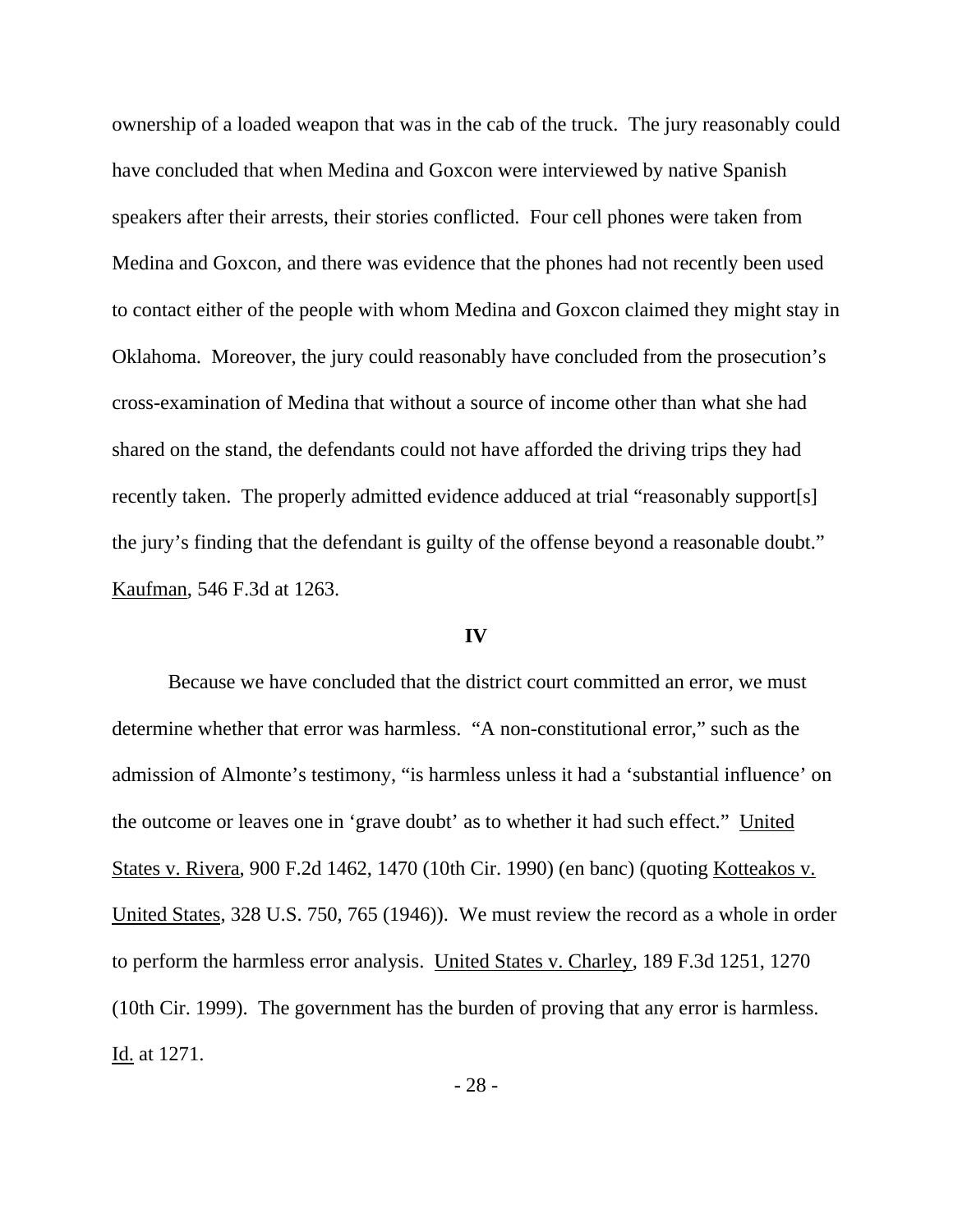ownership of a loaded weapon that was in the cab of the truck. The jury reasonably could have concluded that when Medina and Goxcon were interviewed by native Spanish speakers after their arrests, their stories conflicted. Four cell phones were taken from Medina and Goxcon, and there was evidence that the phones had not recently been used to contact either of the people with whom Medina and Goxcon claimed they might stay in Oklahoma. Moreover, the jury could reasonably have concluded from the prosecution's cross-examination of Medina that without a source of income other than what she had shared on the stand, the defendants could not have afforded the driving trips they had recently taken. The properly admitted evidence adduced at trial "reasonably support[s] the jury's finding that the defendant is guilty of the offense beyond a reasonable doubt." Kaufman, 546 F.3d at 1263.

### **IV**

 Because we have concluded that the district court committed an error, we must determine whether that error was harmless. "A non-constitutional error," such as the admission of Almonte's testimony, "is harmless unless it had a 'substantial influence' on the outcome or leaves one in 'grave doubt' as to whether it had such effect." United States v. Rivera, 900 F.2d 1462, 1470 (10th Cir. 1990) (en banc) (quoting Kotteakos v. United States, 328 U.S. 750, 765 (1946)). We must review the record as a whole in order to perform the harmless error analysis. United States v. Charley, 189 F.3d 1251, 1270 (10th Cir. 1999). The government has the burden of proving that any error is harmless. Id. at 1271.

- 28 -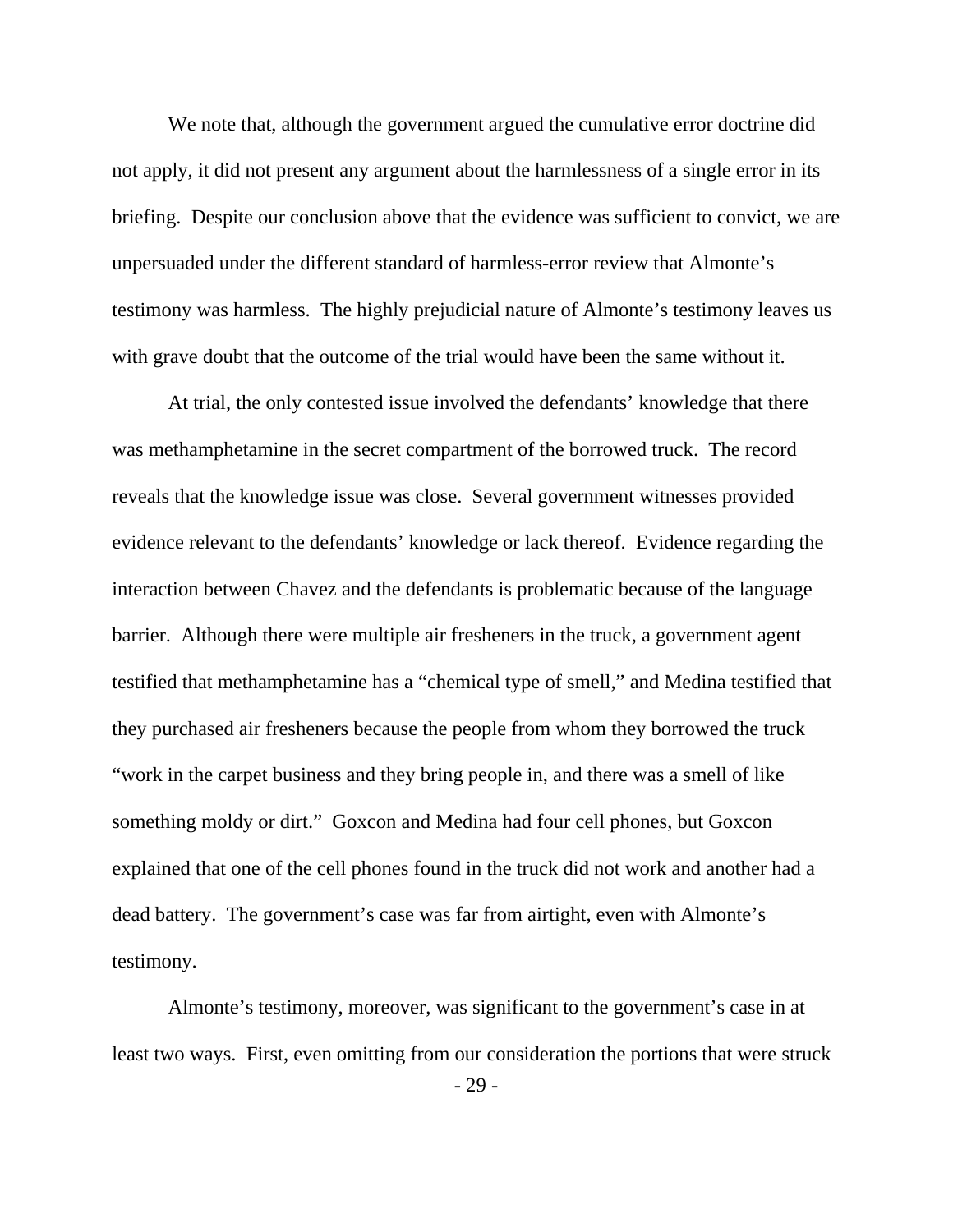We note that, although the government argued the cumulative error doctrine did not apply, it did not present any argument about the harmlessness of a single error in its briefing. Despite our conclusion above that the evidence was sufficient to convict, we are unpersuaded under the different standard of harmless-error review that Almonte's testimony was harmless. The highly prejudicial nature of Almonte's testimony leaves us with grave doubt that the outcome of the trial would have been the same without it.

 At trial, the only contested issue involved the defendants' knowledge that there was methamphetamine in the secret compartment of the borrowed truck. The record reveals that the knowledge issue was close. Several government witnesses provided evidence relevant to the defendants' knowledge or lack thereof. Evidence regarding the interaction between Chavez and the defendants is problematic because of the language barrier. Although there were multiple air fresheners in the truck, a government agent testified that methamphetamine has a "chemical type of smell," and Medina testified that they purchased air fresheners because the people from whom they borrowed the truck "work in the carpet business and they bring people in, and there was a smell of like something moldy or dirt." Goxcon and Medina had four cell phones, but Goxcon explained that one of the cell phones found in the truck did not work and another had a dead battery. The government's case was far from airtight, even with Almonte's testimony.

Almonte's testimony, moreover, was significant to the government's case in at least two ways. First, even omitting from our consideration the portions that were struck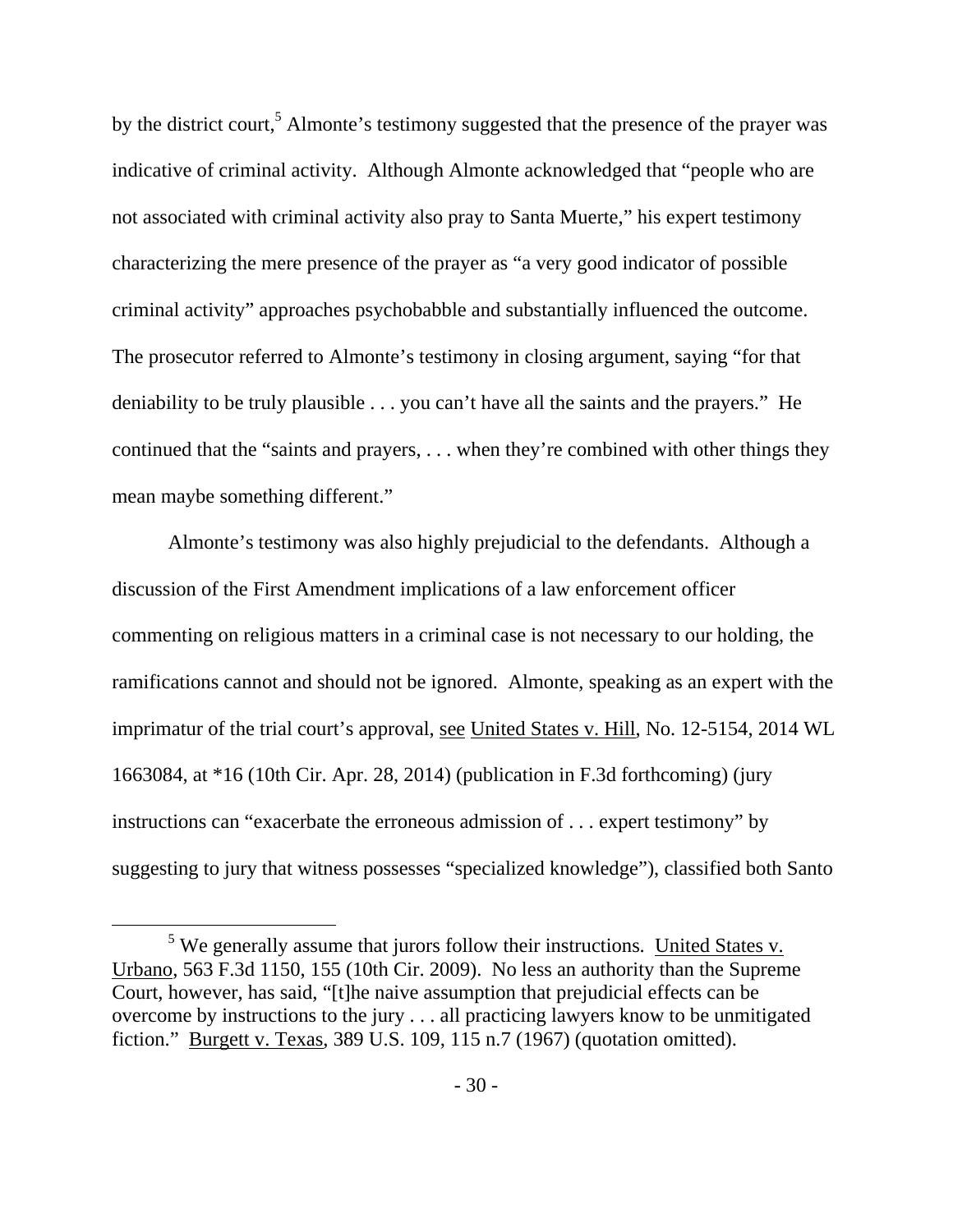by the district court,<sup>5</sup> Almonte's testimony suggested that the presence of the prayer was indicative of criminal activity. Although Almonte acknowledged that "people who are not associated with criminal activity also pray to Santa Muerte," his expert testimony characterizing the mere presence of the prayer as "a very good indicator of possible criminal activity" approaches psychobabble and substantially influenced the outcome. The prosecutor referred to Almonte's testimony in closing argument, saying "for that deniability to be truly plausible . . . you can't have all the saints and the prayers." He continued that the "saints and prayers, . . . when they're combined with other things they mean maybe something different."

 Almonte's testimony was also highly prejudicial to the defendants. Although a discussion of the First Amendment implications of a law enforcement officer commenting on religious matters in a criminal case is not necessary to our holding, the ramifications cannot and should not be ignored. Almonte, speaking as an expert with the imprimatur of the trial court's approval, see United States v. Hill, No. 12-5154, 2014 WL 1663084, at \*16 (10th Cir. Apr. 28, 2014) (publication in F.3d forthcoming) (jury instructions can "exacerbate the erroneous admission of . . . expert testimony" by suggesting to jury that witness possesses "specialized knowledge"), classified both Santo

 $rac{1}{5}$  $5$  We generally assume that jurors follow their instructions. United States v. Urbano, 563 F.3d 1150, 155 (10th Cir. 2009). No less an authority than the Supreme Court, however, has said, "[t]he naive assumption that prejudicial effects can be overcome by instructions to the jury . . . all practicing lawyers know to be unmitigated fiction." Burgett v. Texas, 389 U.S. 109, 115 n.7 (1967) (quotation omitted).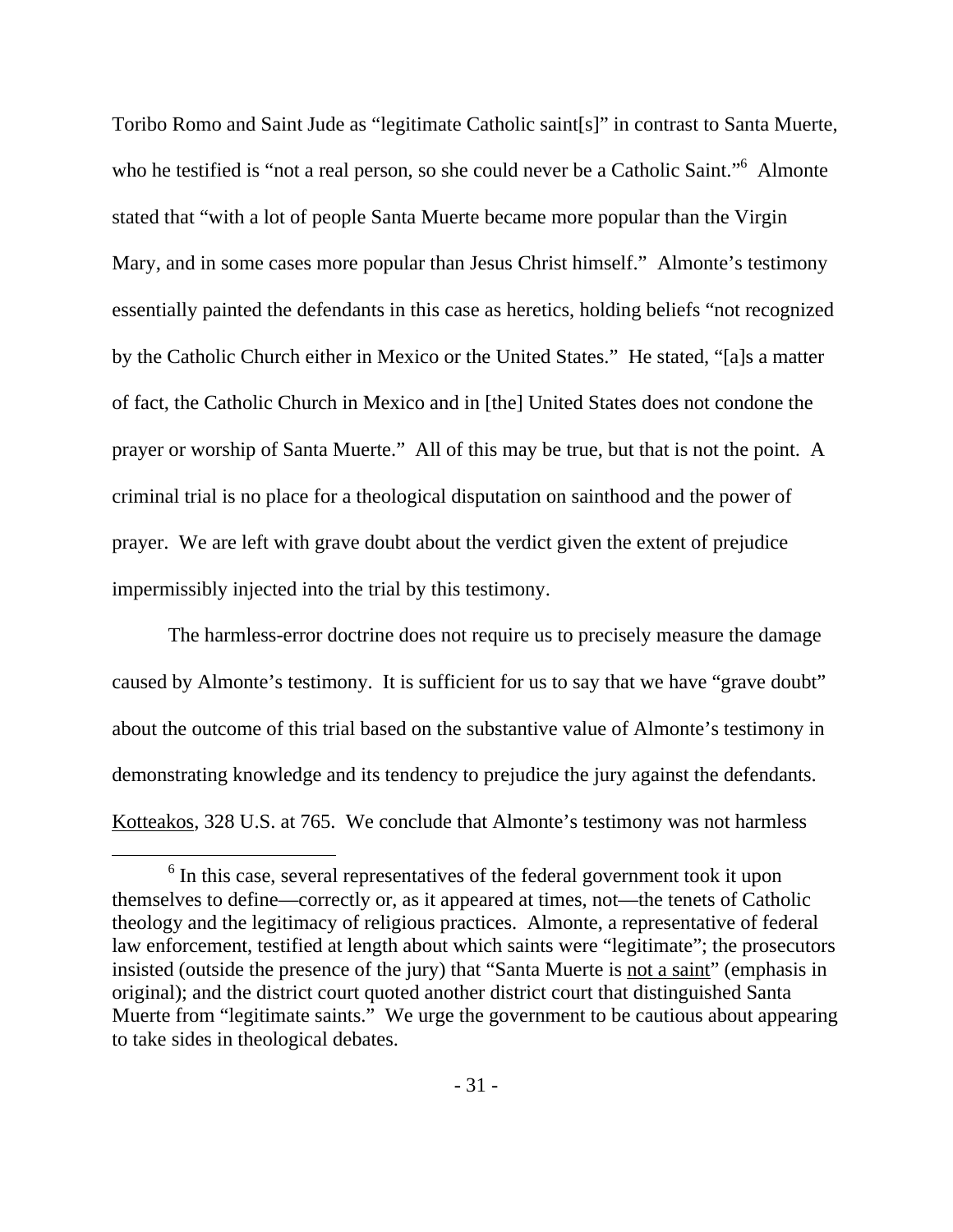Toribo Romo and Saint Jude as "legitimate Catholic saint[s]" in contrast to Santa Muerte, who he testified is "not a real person, so she could never be a Catholic Saint."<sup>6</sup> Almonte stated that "with a lot of people Santa Muerte became more popular than the Virgin Mary, and in some cases more popular than Jesus Christ himself." Almonte's testimony essentially painted the defendants in this case as heretics, holding beliefs "not recognized by the Catholic Church either in Mexico or the United States." He stated, "[a]s a matter of fact, the Catholic Church in Mexico and in [the] United States does not condone the prayer or worship of Santa Muerte." All of this may be true, but that is not the point. A criminal trial is no place for a theological disputation on sainthood and the power of prayer. We are left with grave doubt about the verdict given the extent of prejudice impermissibly injected into the trial by this testimony.

 The harmless-error doctrine does not require us to precisely measure the damage caused by Almonte's testimony. It is sufficient for us to say that we have "grave doubt" about the outcome of this trial based on the substantive value of Almonte's testimony in demonstrating knowledge and its tendency to prejudice the jury against the defendants. Kotteakos, 328 U.S. at 765. We conclude that Almonte's testimony was not harmless

 <sup>6</sup>  $6$  In this case, several representatives of the federal government took it upon themselves to define—correctly or, as it appeared at times, not—the tenets of Catholic theology and the legitimacy of religious practices. Almonte, a representative of federal law enforcement, testified at length about which saints were "legitimate"; the prosecutors insisted (outside the presence of the jury) that "Santa Muerte is not a saint" (emphasis in original); and the district court quoted another district court that distinguished Santa Muerte from "legitimate saints." We urge the government to be cautious about appearing to take sides in theological debates.